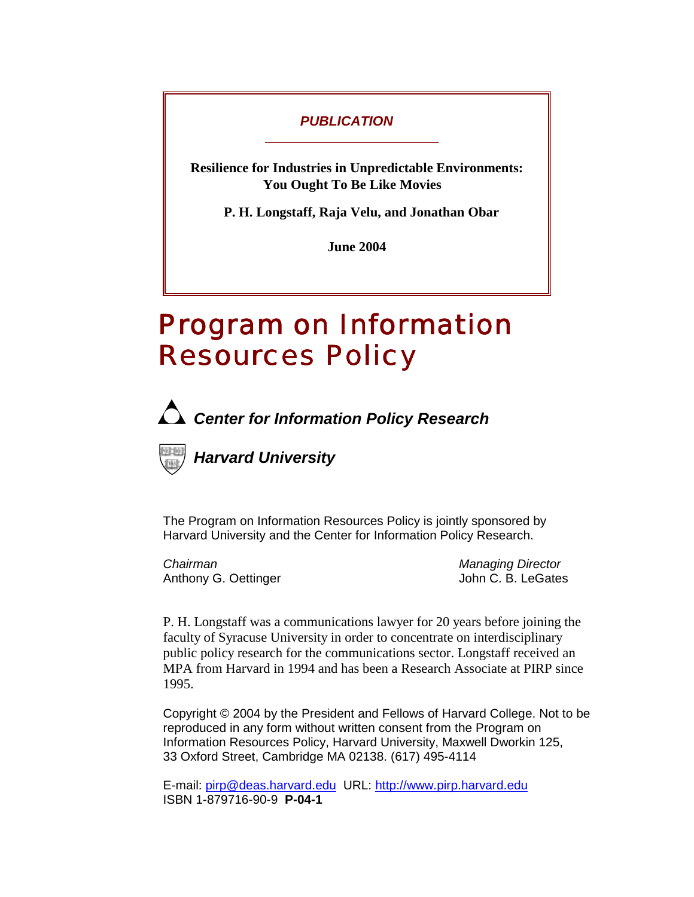### *PUBLICATION*

**Resilience for Industries in Unpredictable Environments: You Ought To Be Like Movies**

**P. H. Longstaff, Raja Velu, and Jonathan Obar**

**June 2004** 

# *Program on Information*  $Resources$  *Policy*



*Center for Information Policy Research* 



*Harvard University* 

The Program on Information Resources Policy is jointly sponsored by Harvard University and the Center for Information Policy Research.

**Chairman** Managing Director **Chairman** Anthony G. Oettinger **Anthony G. Oettinger** John C. B. LeGates

P. H. Longstaff was a communications lawyer for 20 years before joining the faculty of Syracuse University in order to concentrate on interdisciplinary public policy research for the communications sector. Longstaff received an MPA from Harvard in 1994 and has been a Research Associate at PIRP since 1995.

Copyright © 2004 by the President and Fellows of Harvard College. Not to be reproduced in any form without written consent from the Program on Information Resources Policy, Harvard University, Maxwell Dworkin 125, 33 Oxford Street, Cambridge MA 02138. (617) 495-4114

E-mail: [pirp@deas.harvard.edu](mailto:pirp@deas.harvard.edu) URL: [http://www.pirp.harvard.edu](http://www.pirp.harvard.edu/) ISBN 1-879716-90-9 **P-04-1**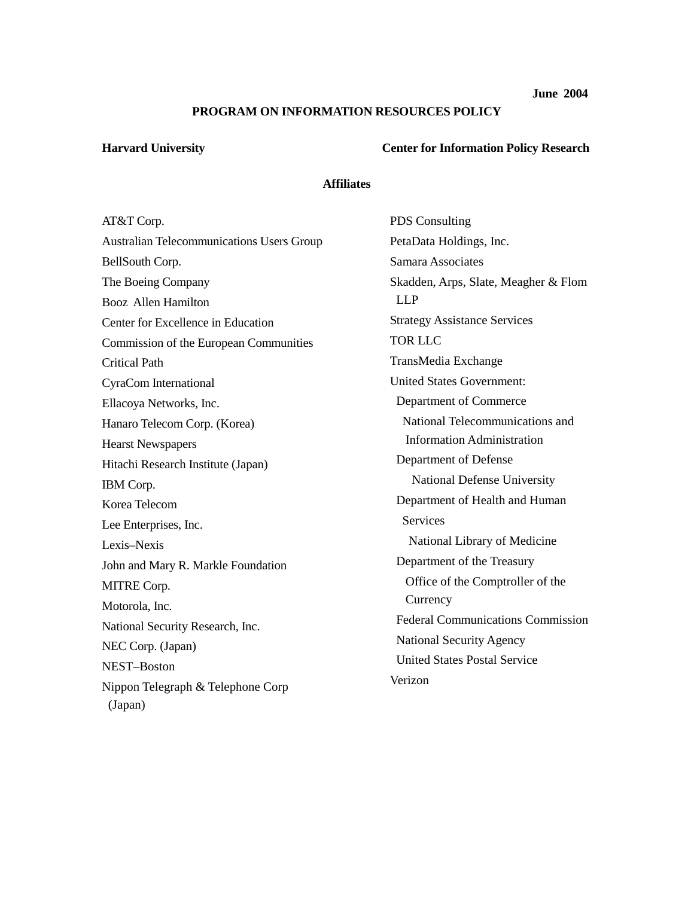**June 2004** 

#### **PROGRAM ON INFORMATION RESOURCES POLICY**

#### **Harvard University Center for Information Policy Research**

#### **Affiliates**

AT&T Corp. Australian Telecommunications Users Group BellSouth Corp. The Boeing Company Booz Allen Hamilton Center for Excellence in Education Commission of the European Communities Critical Path CyraCom International Ellacoya Networks, Inc. Hanaro Telecom Corp. (Korea) Hearst Newspapers Hitachi Research Institute (Japan) IBM Corp. Korea Telecom Lee Enterprises, Inc. Lexis–Nexis John and Mary R. Markle Foundation MITRE Corp. Motorola, Inc. National Security Research, Inc. NEC Corp. (Japan) NEST–Boston Nippon Telegraph & Telephone Corp (Japan)

PDS Consulting PetaData Holdings, Inc. Samara Associates Skadden, Arps, Slate, Meagher & Flom LLP Strategy Assistance Services TOR LLC TransMedia Exchange United States Government: Department of Commerce National Telecommunications and Information Administration Department of Defense National Defense University Department of Health and Human **Services**  National Library of Medicine Department of the Treasury Office of the Comptroller of the **Currency**  Federal Communications Commission National Security Agency United States Postal Service Verizon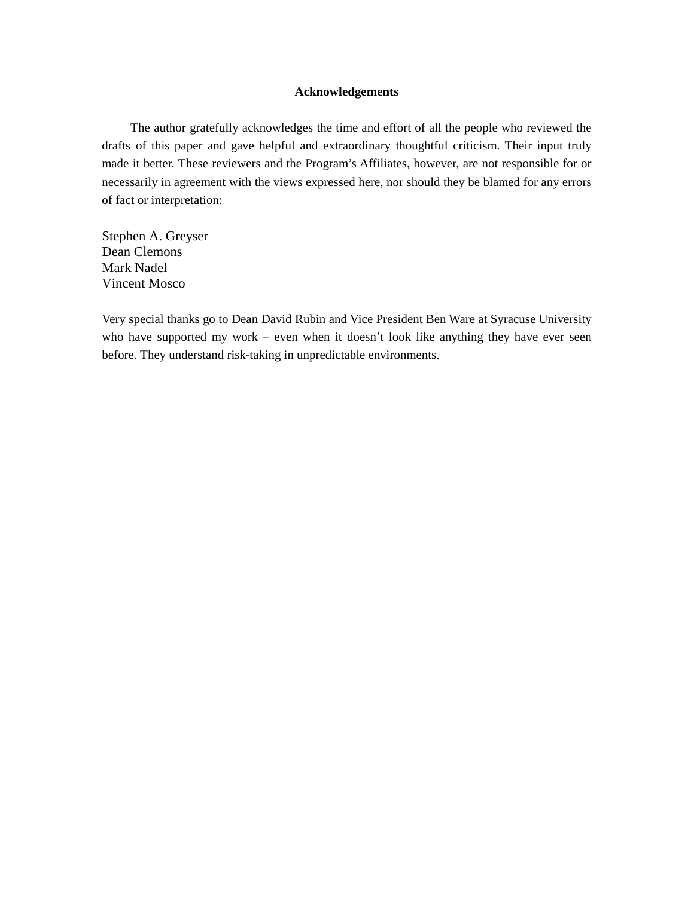#### **Acknowledgements**

The author gratefully acknowledges the time and effort of all the people who reviewed the drafts of this paper and gave helpful and extraordinary thoughtful criticism. Their input truly made it better. These reviewers and the Program's Affiliates, however, are not responsible for or necessarily in agreement with the views expressed here, nor should they be blamed for any errors of fact or interpretation:

Stephen A. Greyser Dean Clemons Mark Nadel Vincent Mosco

Very special thanks go to Dean David Rubin and Vice President Ben Ware at Syracuse University who have supported my work – even when it doesn't look like anything they have ever seen before. They understand risk-taking in unpredictable environments.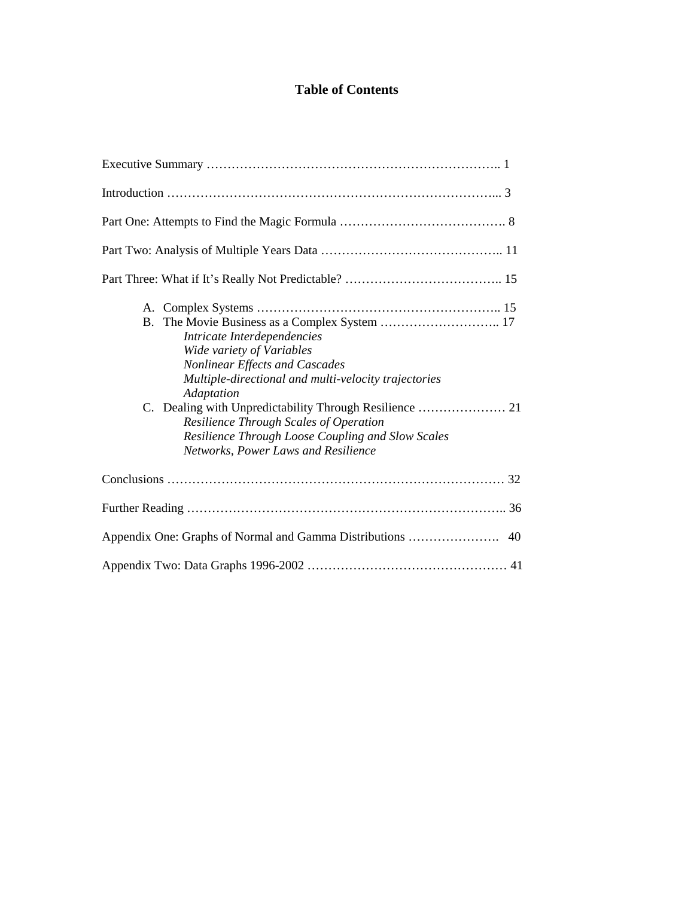## **Table of Contents**

| Intricate Interdependencies<br>Wide variety of Variables<br><b>Nonlinear Effects and Cascades</b><br>Multiple-directional and multi-velocity trajectories<br><b>Adaptation</b><br>Resilience Through Scales of Operation<br>Resilience Through Loose Coupling and Slow Scales<br>Networks, Power Laws and Resilience |
|----------------------------------------------------------------------------------------------------------------------------------------------------------------------------------------------------------------------------------------------------------------------------------------------------------------------|
|                                                                                                                                                                                                                                                                                                                      |
|                                                                                                                                                                                                                                                                                                                      |
| Appendix One: Graphs of Normal and Gamma Distributions<br>40                                                                                                                                                                                                                                                         |
|                                                                                                                                                                                                                                                                                                                      |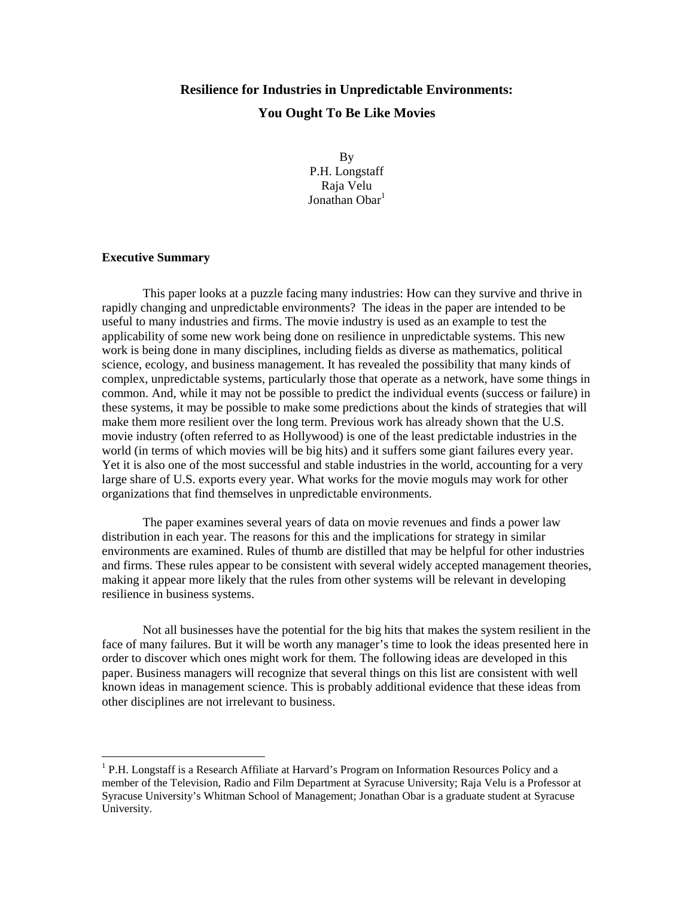# **Resilience for Industries in Unpredictable Environments: You Ought To Be Like Movies**

By P.H. Longstaff Raja Velu Jonathan  $Obar<sup>1</sup>$ 

#### **Executive Summary**

 $\overline{a}$ 

 This paper looks at a puzzle facing many industries: How can they survive and thrive in rapidly changing and unpredictable environments? The ideas in the paper are intended to be useful to many industries and firms. The movie industry is used as an example to test the applicability of some new work being done on resilience in unpredictable systems. This new work is being done in many disciplines, including fields as diverse as mathematics, political science, ecology, and business management. It has revealed the possibility that many kinds of complex, unpredictable systems, particularly those that operate as a network, have some things in common. And, while it may not be possible to predict the individual events (success or failure) in these systems, it may be possible to make some predictions about the kinds of strategies that will make them more resilient over the long term. Previous work has already shown that the U.S. movie industry (often referred to as Hollywood) is one of the least predictable industries in the world (in terms of which movies will be big hits) and it suffers some giant failures every year. Yet it is also one of the most successful and stable industries in the world, accounting for a very large share of U.S. exports every year. What works for the movie moguls may work for other organizations that find themselves in unpredictable environments.

 The paper examines several years of data on movie revenues and finds a power law distribution in each year. The reasons for this and the implications for strategy in similar environments are examined. Rules of thumb are distilled that may be helpful for other industries and firms. These rules appear to be consistent with several widely accepted management theories, making it appear more likely that the rules from other systems will be relevant in developing resilience in business systems.

 Not all businesses have the potential for the big hits that makes the system resilient in the face of many failures. But it will be worth any manager's time to look the ideas presented here in order to discover which ones might work for them. The following ideas are developed in this paper. Business managers will recognize that several things on this list are consistent with well known ideas in management science. This is probably additional evidence that these ideas from other disciplines are not irrelevant to business.

<sup>&</sup>lt;sup>1</sup> P.H. Longstaff is a Research Affiliate at Harvard's Program on Information Resources Policy and a member of the Television, Radio and Film Department at Syracuse University; Raja Velu is a Professor at Syracuse University's Whitman School of Management; Jonathan Obar is a graduate student at Syracuse University.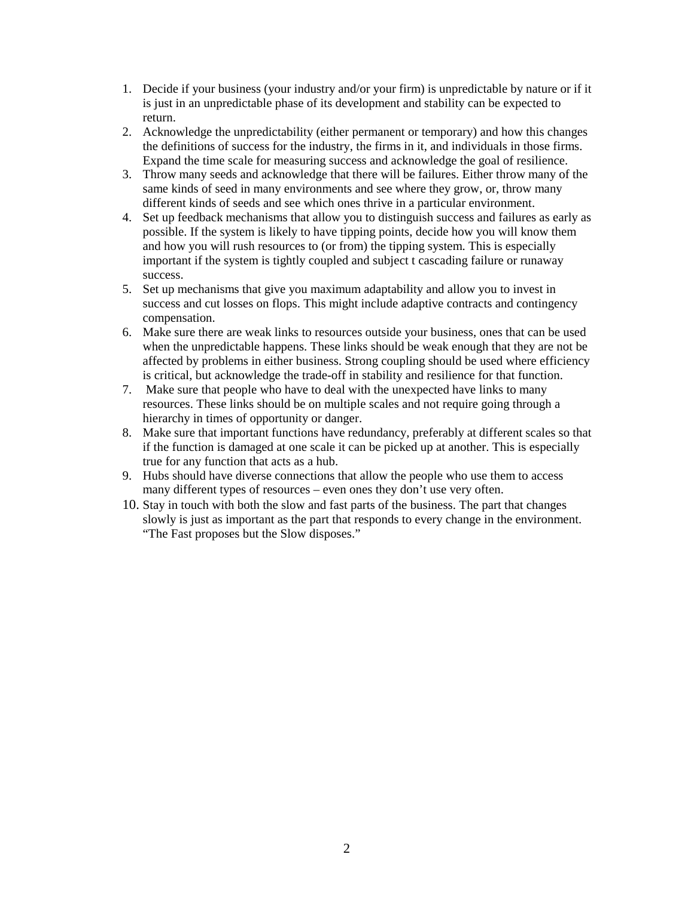- 1. Decide if your business (your industry and/or your firm) is unpredictable by nature or if it is just in an unpredictable phase of its development and stability can be expected to return.
- 2. Acknowledge the unpredictability (either permanent or temporary) and how this changes the definitions of success for the industry, the firms in it, and individuals in those firms. Expand the time scale for measuring success and acknowledge the goal of resilience.
- 3. Throw many seeds and acknowledge that there will be failures. Either throw many of the same kinds of seed in many environments and see where they grow, or, throw many different kinds of seeds and see which ones thrive in a particular environment.
- 4. Set up feedback mechanisms that allow you to distinguish success and failures as early as possible. If the system is likely to have tipping points, decide how you will know them and how you will rush resources to (or from) the tipping system. This is especially important if the system is tightly coupled and subject t cascading failure or runaway success.
- 5. Set up mechanisms that give you maximum adaptability and allow you to invest in success and cut losses on flops. This might include adaptive contracts and contingency compensation.
- 6. Make sure there are weak links to resources outside your business, ones that can be used when the unpredictable happens. These links should be weak enough that they are not be affected by problems in either business. Strong coupling should be used where efficiency is critical, but acknowledge the trade-off in stability and resilience for that function.
- 7. Make sure that people who have to deal with the unexpected have links to many resources. These links should be on multiple scales and not require going through a hierarchy in times of opportunity or danger.
- 8. Make sure that important functions have redundancy, preferably at different scales so that if the function is damaged at one scale it can be picked up at another. This is especially true for any function that acts as a hub.
- 9. Hubs should have diverse connections that allow the people who use them to access many different types of resources – even ones they don't use very often.
- 10. Stay in touch with both the slow and fast parts of the business. The part that changes slowly is just as important as the part that responds to every change in the environment. "The Fast proposes but the Slow disposes."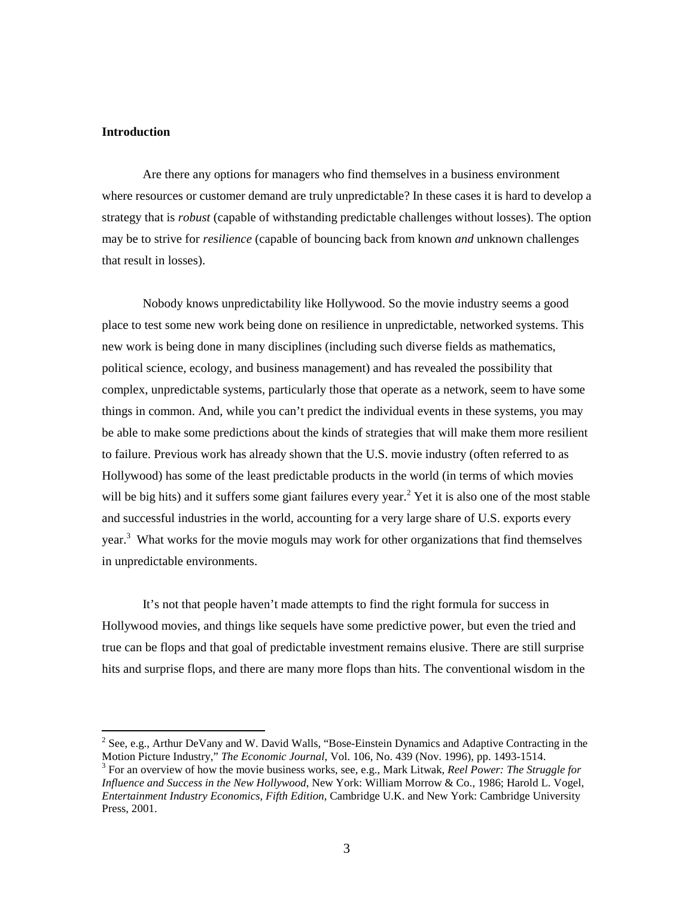#### **Introduction**

 $\overline{a}$ 

 Are there any options for managers who find themselves in a business environment where resources or customer demand are truly unpredictable? In these cases it is hard to develop a strategy that is *robust* (capable of withstanding predictable challenges without losses). The option may be to strive for *resilience* (capable of bouncing back from known *and* unknown challenges that result in losses).

 Nobody knows unpredictability like Hollywood. So the movie industry seems a good place to test some new work being done on resilience in unpredictable, networked systems. This new work is being done in many disciplines (including such diverse fields as mathematics, political science, ecology, and business management) and has revealed the possibility that complex, unpredictable systems, particularly those that operate as a network, seem to have some things in common. And, while you can't predict the individual events in these systems, you may be able to make some predictions about the kinds of strategies that will make them more resilient to failure. Previous work has already shown that the U.S. movie industry (often referred to as Hollywood) has some of the least predictable products in the world (in terms of which movies will be big hits) and it suffers some giant failures every year.<sup>2</sup> Yet it is also one of the most stable and successful industries in the world, accounting for a very large share of U.S. exports every year.<sup>3</sup> What works for the movie moguls may work for other organizations that find themselves in unpredictable environments.

 It's not that people haven't made attempts to find the right formula for success in Hollywood movies, and things like sequels have some predictive power, but even the tried and true can be flops and that goal of predictable investment remains elusive. There are still surprise hits and surprise flops, and there are many more flops than hits. The conventional wisdom in the

 $2^2$  See, e.g., Arthur DeVany and W. David Walls, "Bose-Einstein Dynamics and Adaptive Contracting in the Motion Picture Industry," *The Economic Journal*, Vol. 106, No. 439 (Nov. 1996), pp. 1493-1514. 3

For an overview of how the movie business works, see, e.g., Mark Litwak, *Reel Power: The Struggle for Influence and Success in the New Hollywood*, New York: William Morrow & Co., 1986; Harold L. Vogel, *Entertainment Industry Economics, Fifth Edition*, Cambridge U.K. and New York: Cambridge University Press, 2001.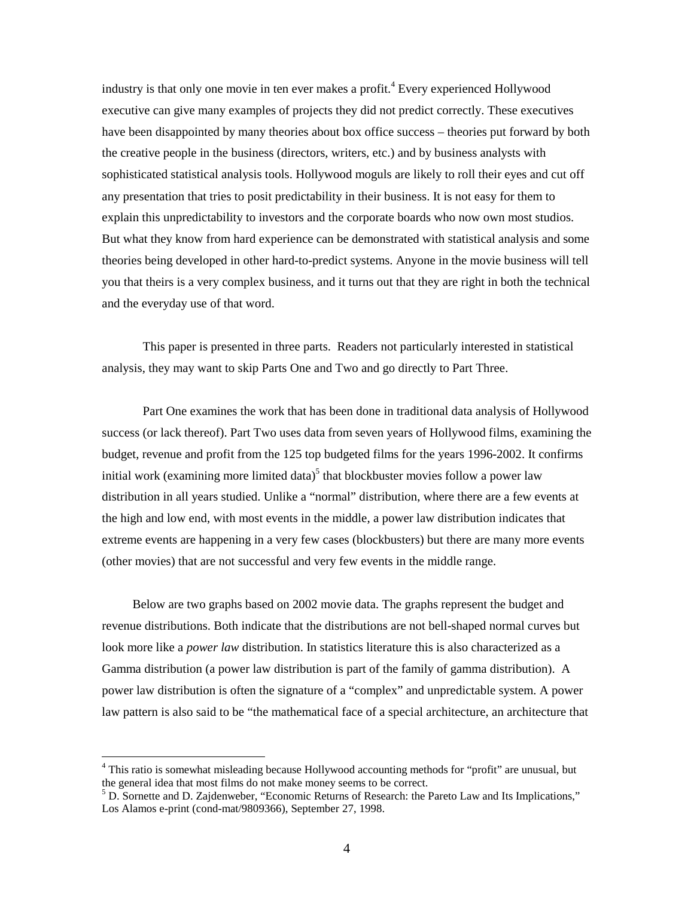industry is that only one movie in ten ever makes a profit.<sup>4</sup> Every experienced Hollywood executive can give many examples of projects they did not predict correctly. These executives have been disappointed by many theories about box office success – theories put forward by both the creative people in the business (directors, writers, etc.) and by business analysts with sophisticated statistical analysis tools. Hollywood moguls are likely to roll their eyes and cut off any presentation that tries to posit predictability in their business. It is not easy for them to explain this unpredictability to investors and the corporate boards who now own most studios. But what they know from hard experience can be demonstrated with statistical analysis and some theories being developed in other hard-to-predict systems. Anyone in the movie business will tell you that theirs is a very complex business, and it turns out that they are right in both the technical and the everyday use of that word.

 This paper is presented in three parts. Readers not particularly interested in statistical analysis, they may want to skip Parts One and Two and go directly to Part Three.

Part One examines the work that has been done in traditional data analysis of Hollywood success (or lack thereof). Part Two uses data from seven years of Hollywood films, examining the budget, revenue and profit from the 125 top budgeted films for the years 1996-2002. It confirms initial work (examining more limited data)<sup>5</sup> that blockbuster movies follow a power law distribution in all years studied. Unlike a "normal" distribution, where there are a few events at the high and low end, with most events in the middle, a power law distribution indicates that extreme events are happening in a very few cases (blockbusters) but there are many more events (other movies) that are not successful and very few events in the middle range.

 Below are two graphs based on 2002 movie data. The graphs represent the budget and revenue distributions. Both indicate that the distributions are not bell-shaped normal curves but look more like a *power law* distribution. In statistics literature this is also characterized as a Gamma distribution (a power law distribution is part of the family of gamma distribution). A power law distribution is often the signature of a "complex" and unpredictable system. A power law pattern is also said to be "the mathematical face of a special architecture, an architecture that

<sup>&</sup>lt;sup>4</sup> This ratio is somewhat misleading because Hollywood accounting methods for "profit" are unusual, but the general idea that most films do not make money seems to be correct.

<sup>&</sup>lt;sup>5</sup> D. Sornette and D. Zajdenweber, "Economic Returns of Research: the Pareto Law and Its Implications," Los Alamos e-print (cond-mat/9809366), September 27, 1998.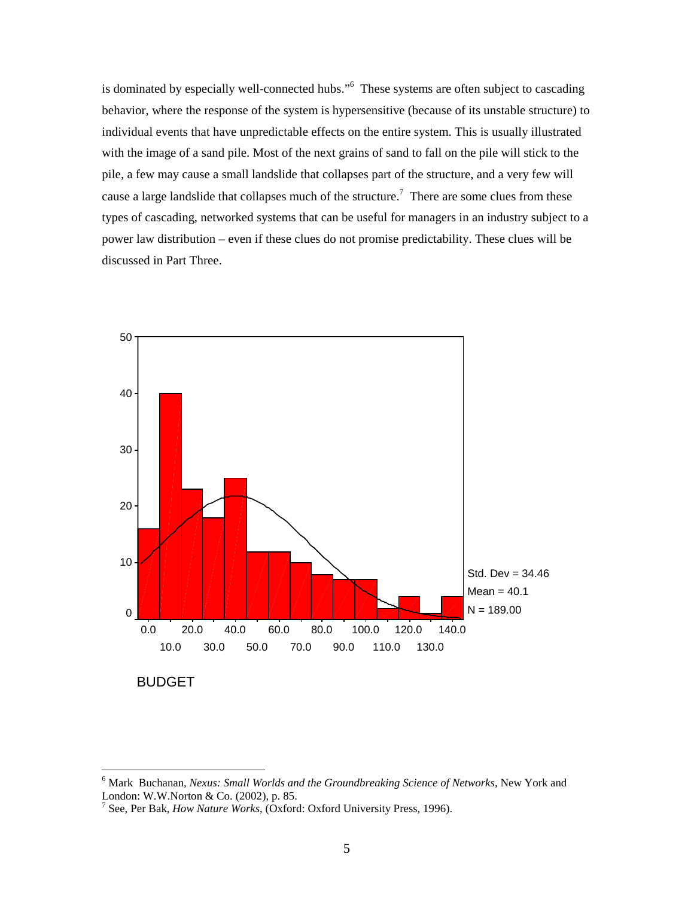is dominated by especially well-connected hubs."<sup>6</sup> These systems are often subject to cascading behavior, where the response of the system is hypersensitive (because of its unstable structure) to individual events that have unpredictable effects on the entire system. This is usually illustrated with the image of a sand pile. Most of the next grains of sand to fall on the pile will stick to the pile, a few may cause a small landslide that collapses part of the structure, and a very few will cause a large landslide that collapses much of the structure.<sup>7</sup> There are some clues from these types of cascading, networked systems that can be useful for managers in an industry subject to a power law distribution – even if these clues do not promise predictability. These clues will be discussed in Part Three.



1

<sup>6</sup> Mark Buchanan, *Nexus: Small Worlds and the Groundbreaking Science of Networks*, New York and London: W.W.Norton & Co. (2002), p. 85.

<sup>7</sup> See, Per Bak, *How Nature Works*, (Oxford: Oxford University Press, 1996).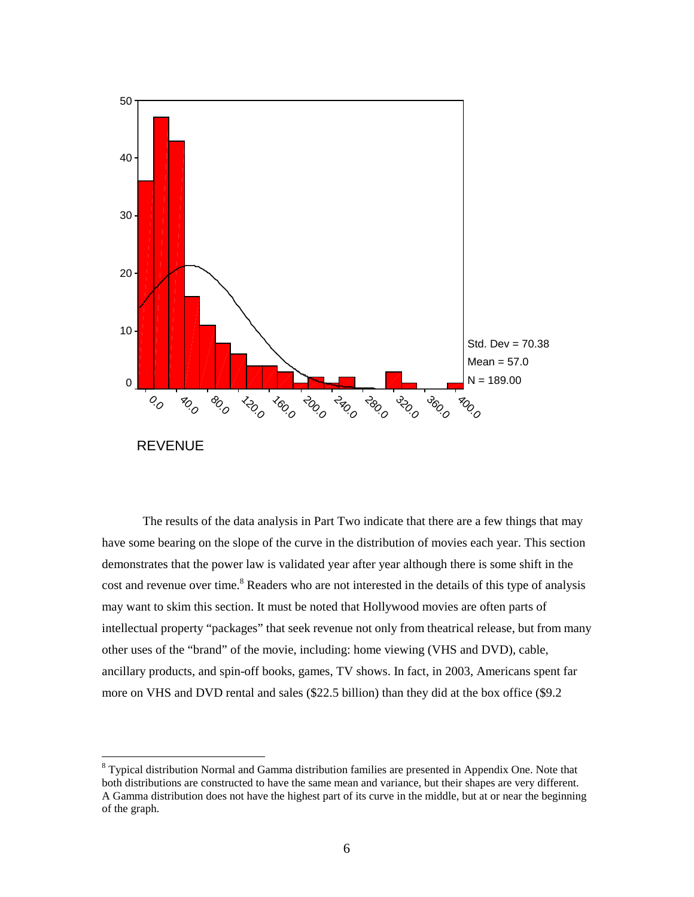

 The results of the data analysis in Part Two indicate that there are a few things that may have some bearing on the slope of the curve in the distribution of movies each year. This section demonstrates that the power law is validated year after year although there is some shift in the cost and revenue over time.<sup>8</sup> Readers who are not interested in the details of this type of analysis may want to skim this section. It must be noted that Hollywood movies are often parts of intellectual property "packages" that seek revenue not only from theatrical release, but from many other uses of the "brand" of the movie, including: home viewing (VHS and DVD), cable, ancillary products, and spin-off books, games, TV shows. In fact, in 2003, Americans spent far more on VHS and DVD rental and sales (\$22.5 billion) than they did at the box office (\$9.2

<sup>&</sup>lt;sup>8</sup> Typical distribution Normal and Gamma distribution families are presented in Appendix One. Note that both distributions are constructed to have the same mean and variance, but their shapes are very different. A Gamma distribution does not have the highest part of its curve in the middle, but at or near the beginning of the graph.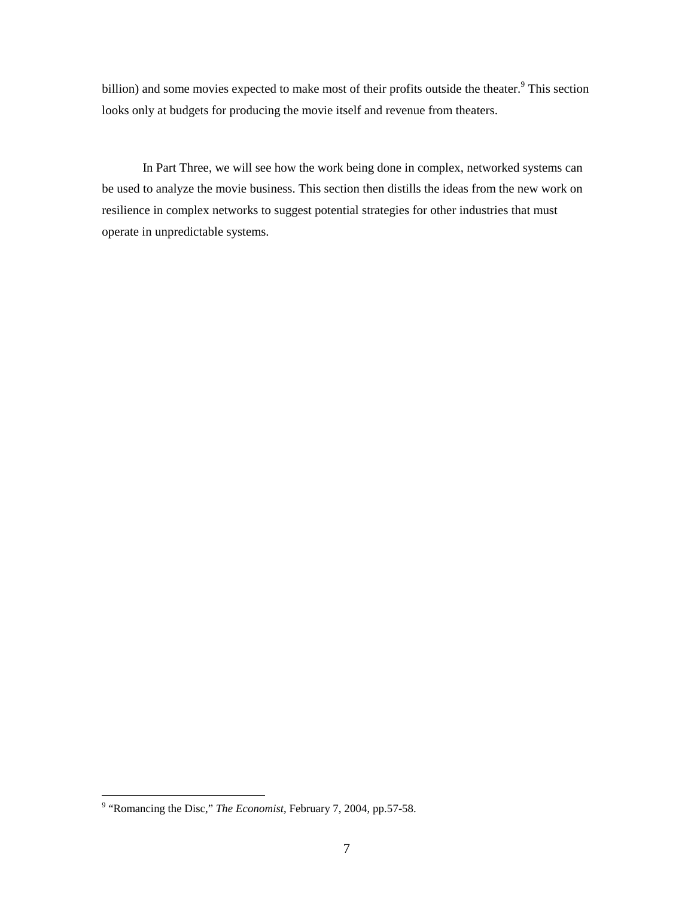billion) and some movies expected to make most of their profits outside the theater.<sup>9</sup> This section looks only at budgets for producing the movie itself and revenue from theaters.

 In Part Three, we will see how the work being done in complex, networked systems can be used to analyze the movie business. This section then distills the ideas from the new work on resilience in complex networks to suggest potential strategies for other industries that must operate in unpredictable systems.

 9 "Romancing the Disc," *The Economist*, February 7, 2004, pp.57-58.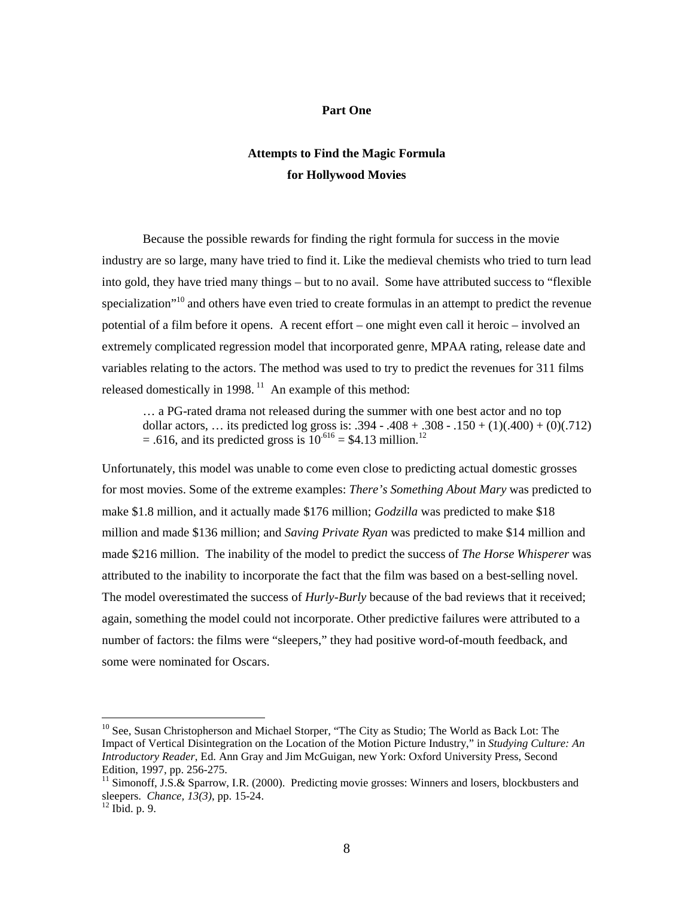#### **Part One**

# **Attempts to Find the Magic Formula for Hollywood Movies**

 Because the possible rewards for finding the right formula for success in the movie industry are so large, many have tried to find it. Like the medieval chemists who tried to turn lead into gold, they have tried many things – but to no avail. Some have attributed success to "flexible specialization<sup>"10</sup> and others have even tried to create formulas in an attempt to predict the revenue potential of a film before it opens. A recent effort – one might even call it heroic – involved an extremely complicated regression model that incorporated genre, MPAA rating, release date and variables relating to the actors. The method was used to try to predict the revenues for 311 films released domestically in 1998.<sup>11</sup> An example of this method:

… a PG-rated drama not released during the summer with one best actor and no top dollar actors, ... its predicted log gross is: .394 - .408 + .308 - .150 + (1)(.400) + (0)(.712)  $= .616$ , and its predicted gross is  $10^{616} = $4.13$  million.<sup>12</sup>

Unfortunately, this model was unable to come even close to predicting actual domestic grosses for most movies. Some of the extreme examples: *There's Something About Mary* was predicted to make \$1.8 million, and it actually made \$176 million; *Godzilla* was predicted to make \$18 million and made \$136 million; and *Saving Private Ryan* was predicted to make \$14 million and made \$216 million. The inability of the model to predict the success of *The Horse Whisperer* was attributed to the inability to incorporate the fact that the film was based on a best-selling novel. The model overestimated the success of *Hurly-Burly* because of the bad reviews that it received; again, something the model could not incorporate. Other predictive failures were attributed to a number of factors: the films were "sleepers," they had positive word-of-mouth feedback, and some were nominated for Oscars.

<sup>&</sup>lt;sup>10</sup> See, Susan Christopherson and Michael Storper, "The City as Studio; The World as Back Lot: The Impact of Vertical Disintegration on the Location of the Motion Picture Industry," in *Studying Culture: An Introductory Reader*, Ed. Ann Gray and Jim McGuigan, new York: Oxford University Press, Second Edition, 1997, pp. 256-275.<br><sup>11</sup> Simonoff, J.S.& Sparrow, I.R. (2000). Predicting movie grosses: Winners and losers, blockbusters and

sleepers. *Chance*, 13(3), pp. 15-24.<br><sup>12</sup> Ibid. p. 9.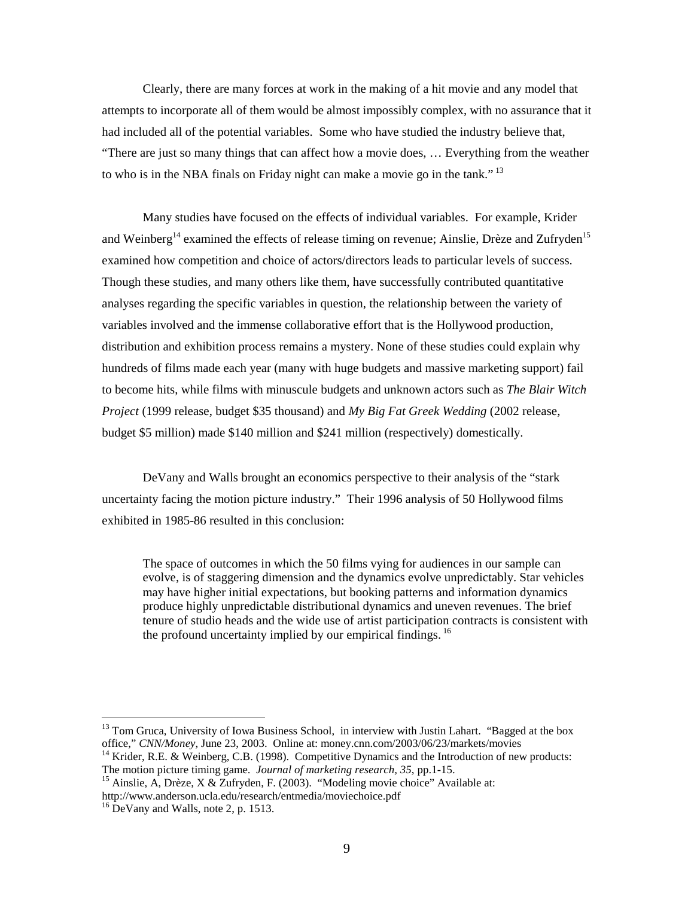Clearly, there are many forces at work in the making of a hit movie and any model that attempts to incorporate all of them would be almost impossibly complex, with no assurance that it had included all of the potential variables. Some who have studied the industry believe that, "There are just so many things that can affect how a movie does, … Everything from the weather to who is in the NBA finals on Friday night can make a movie go in the tank."  $13$ 

 Many studies have focused on the effects of individual variables. For example, Krider and Weinberg<sup>14</sup> examined the effects of release timing on revenue; Ainslie, Drèze and Zufryden<sup>15</sup> examined how competition and choice of actors/directors leads to particular levels of success. Though these studies, and many others like them, have successfully contributed quantitative analyses regarding the specific variables in question, the relationship between the variety of variables involved and the immense collaborative effort that is the Hollywood production, distribution and exhibition process remains a mystery. None of these studies could explain why hundreds of films made each year (many with huge budgets and massive marketing support) fail to become hits, while films with minuscule budgets and unknown actors such as *The Blair Witch Project* (1999 release, budget \$35 thousand) and *My Big Fat Greek Wedding* (2002 release, budget \$5 million) made \$140 million and \$241 million (respectively) domestically.

 DeVany and Walls brought an economics perspective to their analysis of the "stark uncertainty facing the motion picture industry." Their 1996 analysis of 50 Hollywood films exhibited in 1985-86 resulted in this conclusion:

The space of outcomes in which the 50 films vying for audiences in our sample can evolve, is of staggering dimension and the dynamics evolve unpredictably. Star vehicles may have higher initial expectations, but booking patterns and information dynamics produce highly unpredictable distributional dynamics and uneven revenues. The brief tenure of studio heads and the wide use of artist participation contracts is consistent with the profound uncertainty implied by our empirical findings.<sup>16</sup>

<sup>&</sup>lt;sup>13</sup> Tom Gruca, University of Iowa Business School, in interview with Justin Lahart. "Bagged at the box office," *CNN/Money*, June 23, 2003. Online at: money.cnn.com/2003/06/23/markets/movies <sup>14</sup> Krider, R.E. & Weinberg, C.B. (1998). Competitive Dynamics and the Introduction of new products:

The motion picture timing game. *Journal of marketing research*, 35, pp.1-15.<br><sup>15</sup> Ainslie, A, Drèze, X & Zufryden, F. (2003). "Modeling movie choice" Available at:

http://www.anderson.ucla.edu/research/entmedia/moviechoice.pdf

<sup>&</sup>lt;sup>16</sup> DeVany and Walls, note 2, p. 1513.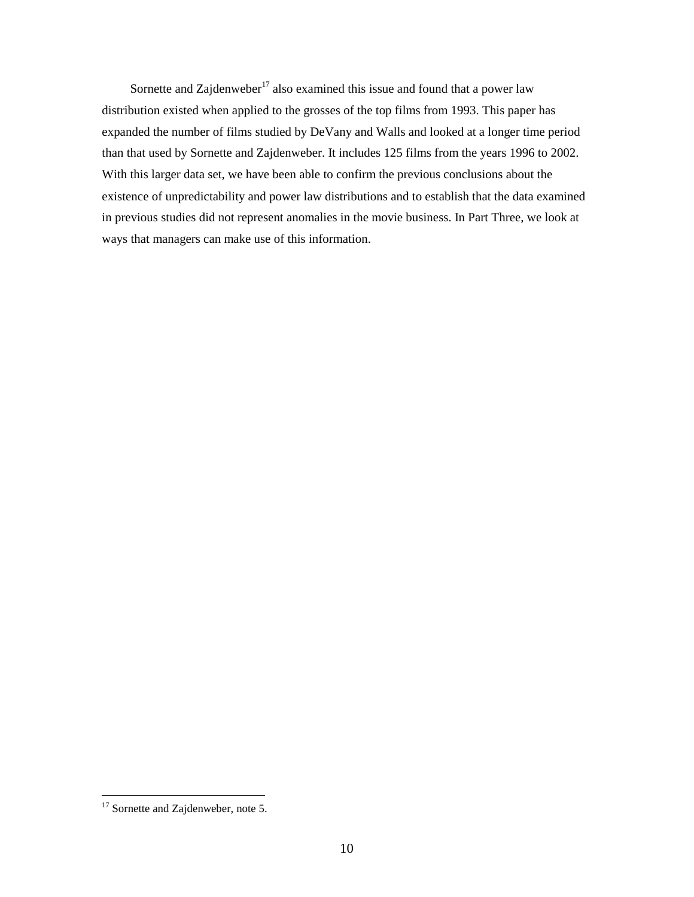Sornette and Zajdenweber<sup>17</sup> also examined this issue and found that a power law distribution existed when applied to the grosses of the top films from 1993. This paper has expanded the number of films studied by DeVany and Walls and looked at a longer time period than that used by Sornette and Zajdenweber. It includes 125 films from the years 1996 to 2002. With this larger data set, we have been able to confirm the previous conclusions about the existence of unpredictability and power law distributions and to establish that the data examined in previous studies did not represent anomalies in the movie business. In Part Three, we look at ways that managers can make use of this information.

 $17$  Sornette and Zajdenweber, note 5.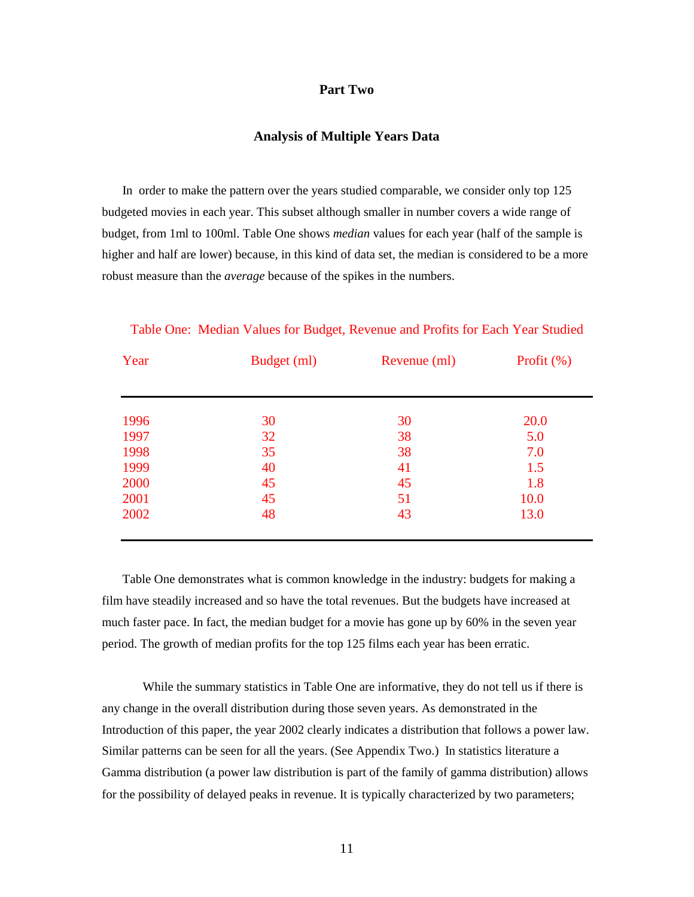#### **Part Two**

#### **Analysis of Multiple Years Data**

In order to make the pattern over the years studied comparable, we consider only top 125 budgeted movies in each year. This subset although smaller in number covers a wide range of budget, from 1ml to 100ml. Table One shows *median* values for each year (half of the sample is higher and half are lower) because, in this kind of data set, the median is considered to be a more robust measure than the *average* because of the spikes in the numbers.

| Year | Budget (ml) | Revenue (ml) | Profit $(\%)$ |
|------|-------------|--------------|---------------|
|      |             |              |               |
| 1996 | 30          | 30           | 20.0          |
| 1997 | 32          | 38           | 5.0           |
| 1998 | 35          | 38           | 7.0           |
| 1999 | 40          | 41           | 1.5           |
| 2000 | 45          | 45           | 1.8           |
| 2001 | 45          | 51           | 10.0          |
| 2002 | 48          | 43           | 13.0          |

Table One: Median Values for Budget, Revenue and Profits for Each Year Studied

Table One demonstrates what is common knowledge in the industry: budgets for making a film have steadily increased and so have the total revenues. But the budgets have increased at much faster pace. In fact, the median budget for a movie has gone up by 60% in the seven year period. The growth of median profits for the top 125 films each year has been erratic.

 While the summary statistics in Table One are informative, they do not tell us if there is any change in the overall distribution during those seven years. As demonstrated in the Introduction of this paper, the year 2002 clearly indicates a distribution that follows a power law. Similar patterns can be seen for all the years. (See Appendix Two.) In statistics literature a Gamma distribution (a power law distribution is part of the family of gamma distribution) allows for the possibility of delayed peaks in revenue. It is typically characterized by two parameters;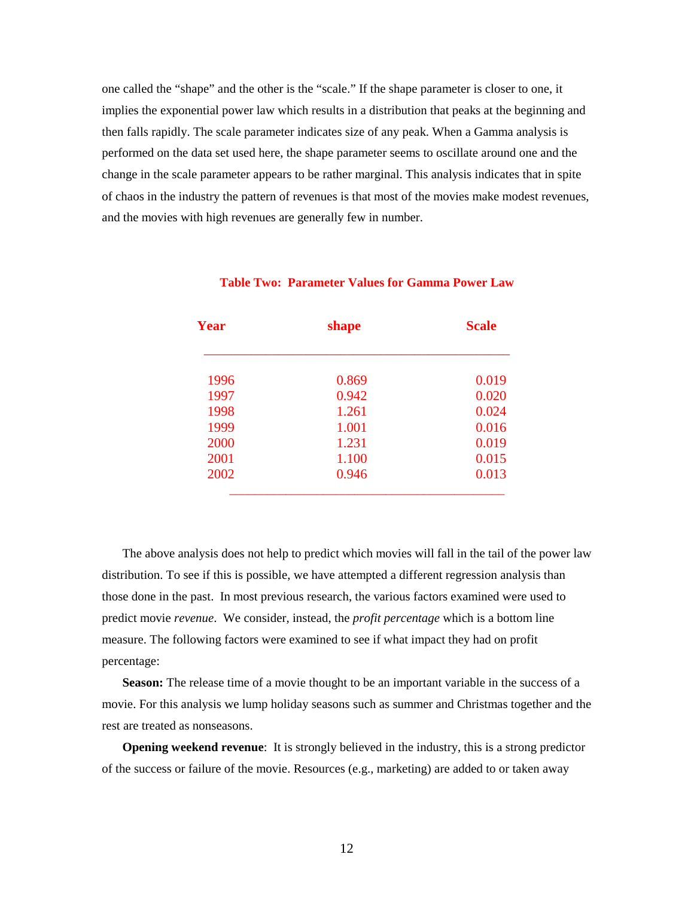one called the "shape" and the other is the "scale." If the shape parameter is closer to one, it implies the exponential power law which results in a distribution that peaks at the beginning and then falls rapidly. The scale parameter indicates size of any peak. When a Gamma analysis is performed on the data set used here, the shape parameter seems to oscillate around one and the change in the scale parameter appears to be rather marginal. This analysis indicates that in spite of chaos in the industry the pattern of revenues is that most of the movies make modest revenues, and the movies with high revenues are generally few in number.

| <b>Year</b> | shape | <b>Scale</b> |  |
|-------------|-------|--------------|--|
|             |       |              |  |
| 1996        | 0.869 | 0.019        |  |
| 1997        | 0.942 | 0.020        |  |
| 1998        | 1.261 | 0.024        |  |
| 1999        | 1.001 | 0.016        |  |
| 2000        | 1.231 | 0.019        |  |
| 2001        | 1.100 | 0.015        |  |
| 2002        | 0.946 | 0.013        |  |
|             |       |              |  |

**Table Two: Parameter Values for Gamma Power Law** 

The above analysis does not help to predict which movies will fall in the tail of the power law distribution. To see if this is possible, we have attempted a different regression analysis than those done in the past. In most previous research, the various factors examined were used to predict movie *revenue*. We consider, instead, the *profit percentage* which is a bottom line measure. The following factors were examined to see if what impact they had on profit percentage:

**Season:** The release time of a movie thought to be an important variable in the success of a movie. For this analysis we lump holiday seasons such as summer and Christmas together and the rest are treated as nonseasons.

**Opening weekend revenue**: It is strongly believed in the industry, this is a strong predictor of the success or failure of the movie. Resources (e.g., marketing) are added to or taken away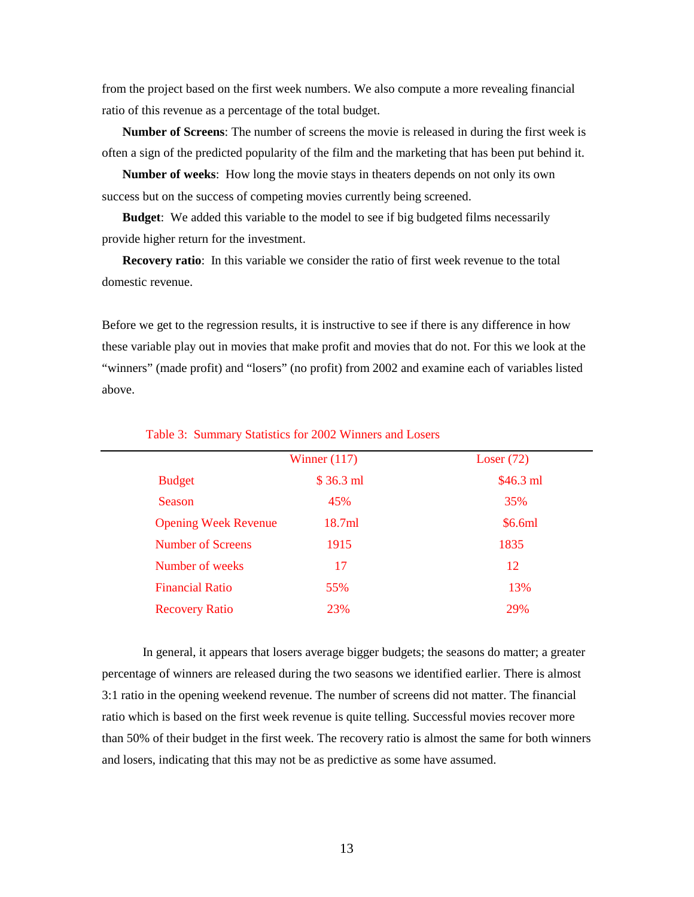from the project based on the first week numbers. We also compute a more revealing financial ratio of this revenue as a percentage of the total budget.

**Number of Screens**: The number of screens the movie is released in during the first week is often a sign of the predicted popularity of the film and the marketing that has been put behind it.

**Number of weeks**: How long the movie stays in theaters depends on not only its own success but on the success of competing movies currently being screened.

**Budget**: We added this variable to the model to see if big budgeted films necessarily provide higher return for the investment.

**Recovery ratio**: In this variable we consider the ratio of first week revenue to the total domestic revenue.

Before we get to the regression results, it is instructive to see if there is any difference in how these variable play out in movies that make profit and movies that do not. For this we look at the "winners" (made profit) and "losers" (no profit) from 2002 and examine each of variables listed above.

|                             | Winner $(117)$ | Loser $(72)$ |
|-----------------------------|----------------|--------------|
| <b>Budget</b>               | $$36.3$ ml     | $$46.3$ ml   |
| Season                      | 45%            | 35%          |
| <b>Opening Week Revenue</b> | 18.7ml         | \$6.6ml      |
| <b>Number of Screens</b>    | 1915           | 1835         |
| Number of weeks             | 17             | 12           |
| <b>Financial Ratio</b>      | 55%            | 13%          |
| <b>Recovery Ratio</b>       | 23%            | 29%          |
|                             |                |              |

Table 3: Summary Statistics for 2002 Winners and Losers

 In general, it appears that losers average bigger budgets; the seasons do matter; a greater percentage of winners are released during the two seasons we identified earlier. There is almost 3:1 ratio in the opening weekend revenue. The number of screens did not matter. The financial ratio which is based on the first week revenue is quite telling. Successful movies recover more than 50% of their budget in the first week. The recovery ratio is almost the same for both winners and losers, indicating that this may not be as predictive as some have assumed.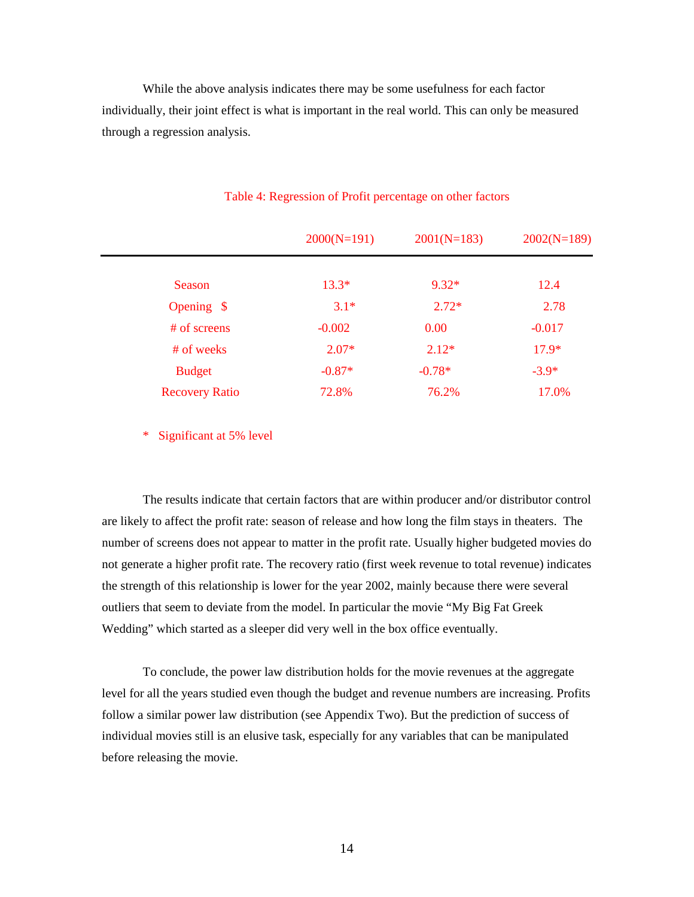While the above analysis indicates there may be some usefulness for each factor individually, their joint effect is what is important in the real world. This can only be measured through a regression analysis.

|                       | $2000(N=191)$ | $2001(N=183)$ | $2002(N=189)$ |
|-----------------------|---------------|---------------|---------------|
|                       |               |               |               |
| Season                | $13.3*$       | $9.32*$       | 12.4          |
| Opening \$            | $3.1*$        | $2.72*$       | 2.78          |
| # of screens          | $-0.002$      | 0.00          | $-0.017$      |
| # of weeks            | $2.07*$       | $2.12*$       | $17.9*$       |
| <b>Budget</b>         | $-0.87*$      | $-0.78*$      | $-3.9*$       |
| <b>Recovery Ratio</b> | 72.8%         | 76.2%         | 17.0%         |

#### Table 4: Regression of Profit percentage on other factors

\* Significant at 5% level

The results indicate that certain factors that are within producer and/or distributor control are likely to affect the profit rate: season of release and how long the film stays in theaters. The number of screens does not appear to matter in the profit rate. Usually higher budgeted movies do not generate a higher profit rate. The recovery ratio (first week revenue to total revenue) indicates the strength of this relationship is lower for the year 2002, mainly because there were several outliers that seem to deviate from the model. In particular the movie "My Big Fat Greek Wedding" which started as a sleeper did very well in the box office eventually.

To conclude, the power law distribution holds for the movie revenues at the aggregate level for all the years studied even though the budget and revenue numbers are increasing. Profits follow a similar power law distribution (see Appendix Two). But the prediction of success of individual movies still is an elusive task, especially for any variables that can be manipulated before releasing the movie.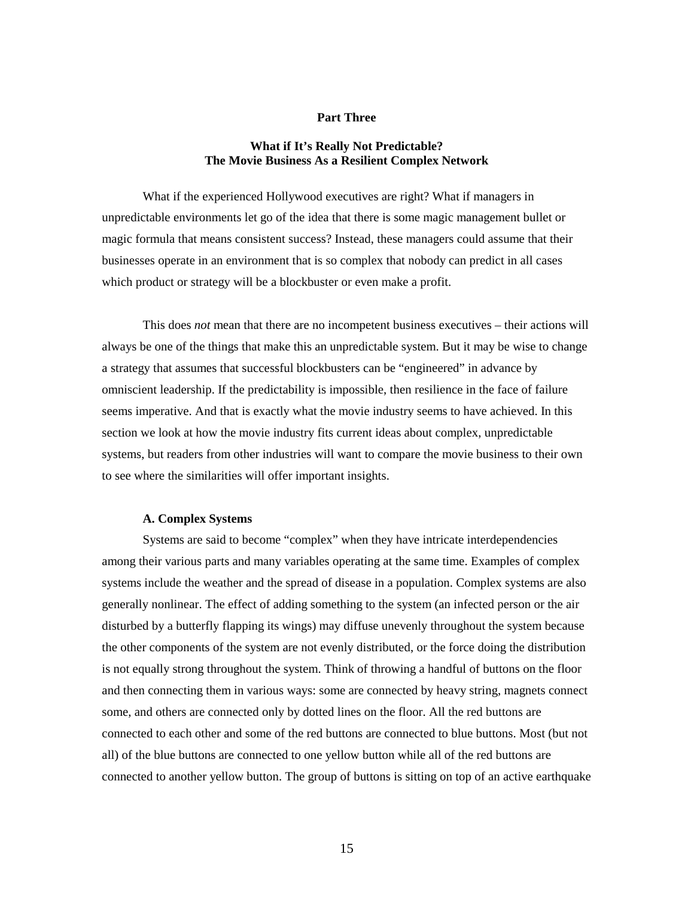#### **Part Three**

#### **What if It's Really Not Predictable? The Movie Business As a Resilient Complex Network**

What if the experienced Hollywood executives are right? What if managers in unpredictable environments let go of the idea that there is some magic management bullet or magic formula that means consistent success? Instead, these managers could assume that their businesses operate in an environment that is so complex that nobody can predict in all cases which product or strategy will be a blockbuster or even make a profit.

This does *not* mean that there are no incompetent business executives – their actions will always be one of the things that make this an unpredictable system. But it may be wise to change a strategy that assumes that successful blockbusters can be "engineered" in advance by omniscient leadership. If the predictability is impossible, then resilience in the face of failure seems imperative. And that is exactly what the movie industry seems to have achieved. In this section we look at how the movie industry fits current ideas about complex, unpredictable systems, but readers from other industries will want to compare the movie business to their own to see where the similarities will offer important insights.

#### **A. Complex Systems**

Systems are said to become "complex" when they have intricate interdependencies among their various parts and many variables operating at the same time. Examples of complex systems include the weather and the spread of disease in a population. Complex systems are also generally nonlinear. The effect of adding something to the system (an infected person or the air disturbed by a butterfly flapping its wings) may diffuse unevenly throughout the system because the other components of the system are not evenly distributed, or the force doing the distribution is not equally strong throughout the system. Think of throwing a handful of buttons on the floor and then connecting them in various ways: some are connected by heavy string, magnets connect some, and others are connected only by dotted lines on the floor. All the red buttons are connected to each other and some of the red buttons are connected to blue buttons. Most (but not all) of the blue buttons are connected to one yellow button while all of the red buttons are connected to another yellow button. The group of buttons is sitting on top of an active earthquake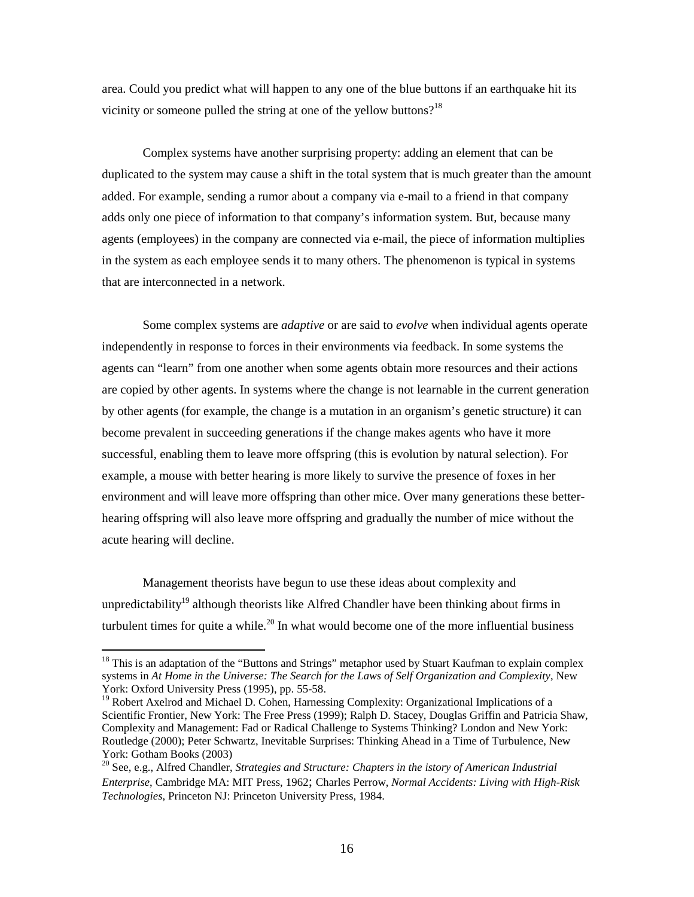area. Could you predict what will happen to any one of the blue buttons if an earthquake hit its vicinity or someone pulled the string at one of the yellow buttons?<sup>18</sup>

Complex systems have another surprising property: adding an element that can be duplicated to the system may cause a shift in the total system that is much greater than the amount added. For example, sending a rumor about a company via e-mail to a friend in that company adds only one piece of information to that company's information system. But, because many agents (employees) in the company are connected via e-mail, the piece of information multiplies in the system as each employee sends it to many others. The phenomenon is typical in systems that are interconnected in a network.

 Some complex systems are *adaptive* or are said to *evolve* when individual agents operate independently in response to forces in their environments via feedback. In some systems the agents can "learn" from one another when some agents obtain more resources and their actions are copied by other agents. In systems where the change is not learnable in the current generation by other agents (for example, the change is a mutation in an organism's genetic structure) it can become prevalent in succeeding generations if the change makes agents who have it more successful, enabling them to leave more offspring (this is evolution by natural selection). For example, a mouse with better hearing is more likely to survive the presence of foxes in her environment and will leave more offspring than other mice. Over many generations these betterhearing offspring will also leave more offspring and gradually the number of mice without the acute hearing will decline.

Management theorists have begun to use these ideas about complexity and unpredictability<sup>19</sup> although theorists like Alfred Chandler have been thinking about firms in turbulent times for quite a while.<sup>20</sup> In what would become one of the more influential business

<sup>&</sup>lt;sup>18</sup> This is an adaptation of the "Buttons and Strings" metaphor used by Stuart Kaufman to explain complex systems in *At Home in the Universe: The Search for the Laws of Self Organization and Complexity*, New York: Oxford University Press (1995), pp. 55-58.

<sup>&</sup>lt;sup>19</sup> Robert Axelrod and Michael D. Cohen, Harnessing Complexity: Organizational Implications of a Scientific Frontier, New York: The Free Press (1999); Ralph D. Stacey, Douglas Griffin and Patricia Shaw, Complexity and Management: Fad or Radical Challenge to Systems Thinking? London and New York: Routledge (2000); Peter Schwartz, Inevitable Surprises: Thinking Ahead in a Time of Turbulence, New York: Gotham Books (2003)

<sup>20</sup> See, e.g., Alfred Chandler, *Strategies and Structure: Chapters in the istory of American Industrial Enterprise*, Cambridge MA: MIT Press, 1962; Charles Perrow, *Normal Accidents: Living with High-Risk Technologies*, Princeton NJ: Princeton University Press, 1984.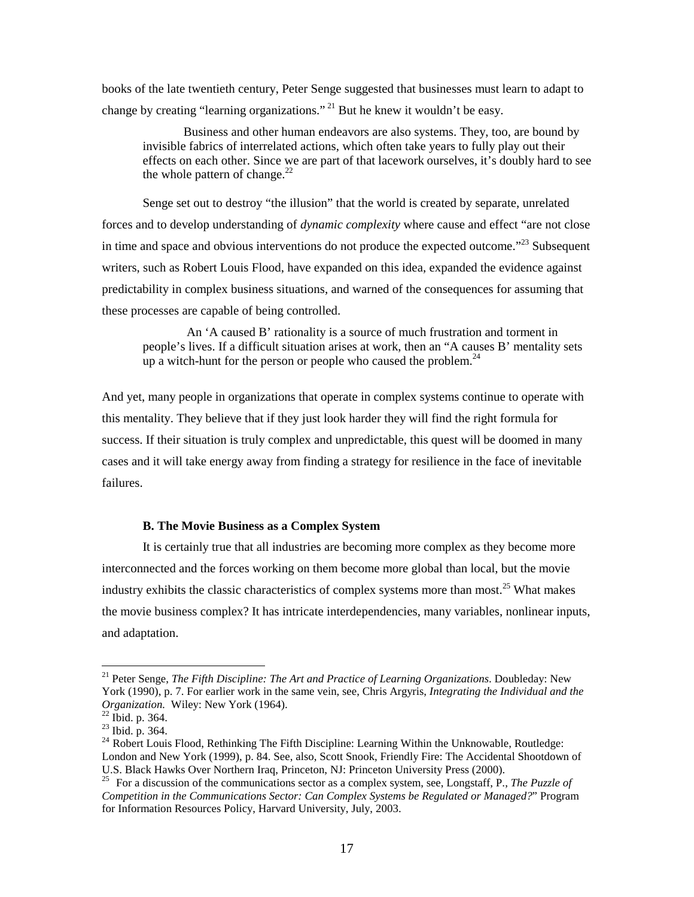books of the late twentieth century, Peter Senge suggested that businesses must learn to adapt to change by creating "learning organizations." 21 But he knew it wouldn't be easy.

Business and other human endeavors are also systems. They, too, are bound by invisible fabrics of interrelated actions, which often take years to fully play out their effects on each other. Since we are part of that lacework ourselves, it's doubly hard to see the whole pattern of change. $^{22}$ 

Senge set out to destroy "the illusion" that the world is created by separate, unrelated forces and to develop understanding of *dynamic complexity* where cause and effect "are not close in time and space and obvious interventions do not produce the expected outcome."<sup>23</sup> Subsequent writers, such as Robert Louis Flood, have expanded on this idea, expanded the evidence against predictability in complex business situations, and warned of the consequences for assuming that these processes are capable of being controlled.

 An 'A caused B' rationality is a source of much frustration and torment in people's lives. If a difficult situation arises at work, then an "A causes B' mentality sets up a witch-hunt for the person or people who caused the problem.<sup>24</sup>

And yet, many people in organizations that operate in complex systems continue to operate with this mentality. They believe that if they just look harder they will find the right formula for success. If their situation is truly complex and unpredictable, this quest will be doomed in many cases and it will take energy away from finding a strategy for resilience in the face of inevitable failures.

#### **B. The Movie Business as a Complex System**

It is certainly true that all industries are becoming more complex as they become more interconnected and the forces working on them become more global than local, but the movie industry exhibits the classic characteristics of complex systems more than most.<sup>25</sup> What makes the movie business complex? It has intricate interdependencies, many variables, nonlinear inputs, and adaptation.

<sup>21</sup> Peter Senge, *The Fifth Discipline: The Art and Practice of Learning Organizations*. Doubleday: New York (1990), p. 7. For earlier work in the same vein, see, Chris Argyris, *Integrating the Individual and the Organization.* Wiley: New York (1964).<br><sup>22</sup> Ibid. p. 364.

<sup>23</sup> Ibid. p. 364.

<sup>&</sup>lt;sup>24</sup> Robert Louis Flood, Rethinking The Fifth Discipline: Learning Within the Unknowable, Routledge: London and New York (1999), p. 84. See, also, Scott Snook, Friendly Fire: The Accidental Shootdown of U.S. Black Hawks Over Northern Iraq, Princeton, NJ: Princeton University Press (2000).

<sup>25</sup> For a discussion of the communications sector as a complex system, see, Longstaff, P., *The Puzzle of Competition in the Communications Sector: Can Complex Systems be Regulated or Managed?*" Program for Information Resources Policy, Harvard University, July, 2003.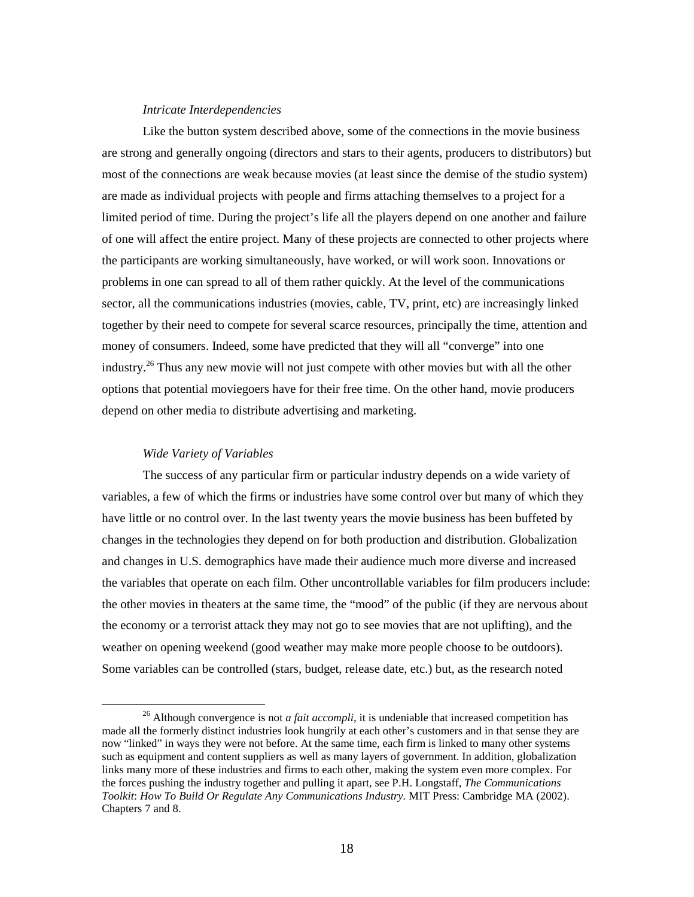#### *Intricate Interdependencies*

 Like the button system described above, some of the connections in the movie business are strong and generally ongoing (directors and stars to their agents, producers to distributors) but most of the connections are weak because movies (at least since the demise of the studio system) are made as individual projects with people and firms attaching themselves to a project for a limited period of time. During the project's life all the players depend on one another and failure of one will affect the entire project. Many of these projects are connected to other projects where the participants are working simultaneously, have worked, or will work soon. Innovations or problems in one can spread to all of them rather quickly. At the level of the communications sector, all the communications industries (movies, cable, TV, print, etc) are increasingly linked together by their need to compete for several scarce resources, principally the time, attention and money of consumers. Indeed, some have predicted that they will all "converge" into one industry.<sup>26</sup> Thus any new movie will not just compete with other movies but with all the other options that potential moviegoers have for their free time. On the other hand, movie producers depend on other media to distribute advertising and marketing.

#### *Wide Variety of Variables*

The success of any particular firm or particular industry depends on a wide variety of variables, a few of which the firms or industries have some control over but many of which they have little or no control over. In the last twenty years the movie business has been buffeted by changes in the technologies they depend on for both production and distribution. Globalization and changes in U.S. demographics have made their audience much more diverse and increased the variables that operate on each film. Other uncontrollable variables for film producers include: the other movies in theaters at the same time, the "mood" of the public (if they are nervous about the economy or a terrorist attack they may not go to see movies that are not uplifting), and the weather on opening weekend (good weather may make more people choose to be outdoors). Some variables can be controlled (stars, budget, release date, etc.) but, as the research noted

<sup>&</sup>lt;sup>26</sup> Although convergence is not *a fait accompli*, it is undeniable that increased competition has made all the formerly distinct industries look hungrily at each other's customers and in that sense they are now "linked" in ways they were not before. At the same time, each firm is linked to many other systems such as equipment and content suppliers as well as many layers of government. In addition, globalization links many more of these industries and firms to each other, making the system even more complex. For the forces pushing the industry together and pulling it apart, see P.H. Longstaff, *The Communications Toolkit*: *How To Build Or Regulate Any Communications Industry.* MIT Press: Cambridge MA (2002). Chapters 7 and 8.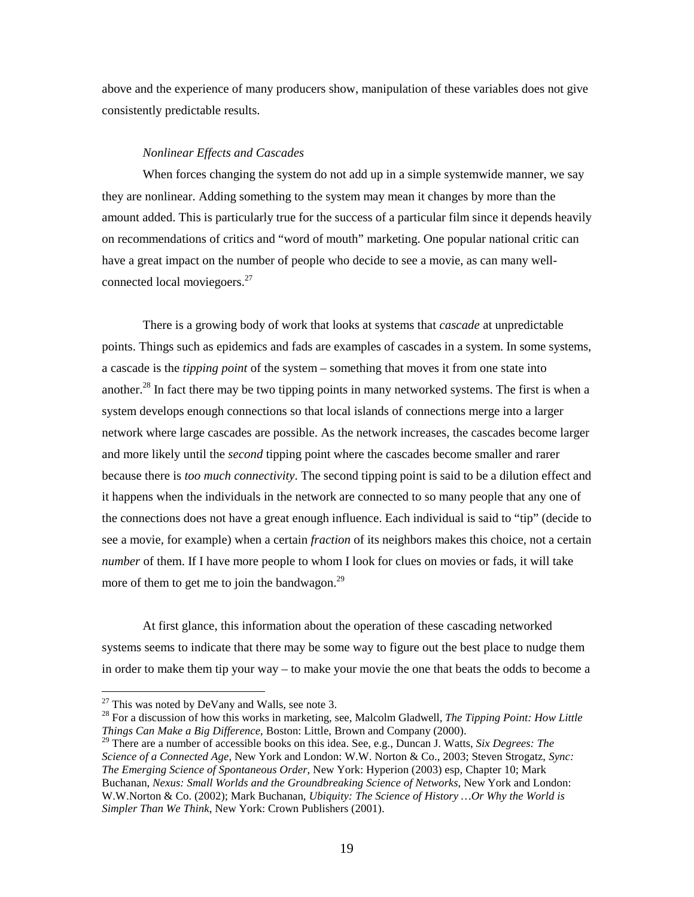above and the experience of many producers show, manipulation of these variables does not give consistently predictable results.

#### *Nonlinear Effects and Cascades*

When forces changing the system do not add up in a simple systemwide manner, we say they are nonlinear. Adding something to the system may mean it changes by more than the amount added. This is particularly true for the success of a particular film since it depends heavily on recommendations of critics and "word of mouth" marketing. One popular national critic can have a great impact on the number of people who decide to see a movie, as can many wellconnected local moviegoers.<sup>27</sup>

There is a growing body of work that looks at systems that *cascade* at unpredictable points. Things such as epidemics and fads are examples of cascades in a system. In some systems, a cascade is the *tipping point* of the system – something that moves it from one state into another.<sup>28</sup> In fact there may be two tipping points in many networked systems. The first is when a system develops enough connections so that local islands of connections merge into a larger network where large cascades are possible. As the network increases, the cascades become larger and more likely until the *second* tipping point where the cascades become smaller and rarer because there is *too much connectivity*. The second tipping point is said to be a dilution effect and it happens when the individuals in the network are connected to so many people that any one of the connections does not have a great enough influence. Each individual is said to "tip" (decide to see a movie, for example) when a certain *fraction* of its neighbors makes this choice, not a certain *number* of them. If I have more people to whom I look for clues on movies or fads, it will take more of them to get me to join the bandwagon. $^{29}$ 

At first glance, this information about the operation of these cascading networked systems seems to indicate that there may be some way to figure out the best place to nudge them in order to make them tip your way – to make your movie the one that beats the odds to become a

 $\overline{a}$ 

28 For a discussion of how this works in marketing, see, Malcolm Gladwell, *The Tipping Point: How Little Things Can Make a Big Difference*, Boston: Little, Brown and Company (2000).

 $27$  This was noted by DeVany and Walls, see note 3.

<sup>29</sup> There are a number of accessible books on this idea. See, e.g., Duncan J. Watts, *Six Degrees: The Science of a Connected Age*, New York and London: W.W. Norton & Co., 2003; Steven Strogatz, *Sync: The Emerging Science of Spontaneous Order*, New York: Hyperion (2003) esp, Chapter 10; Mark Buchanan, *Nexus: Small Worlds and the Groundbreaking Science of Networks*, New York and London: W.W.Norton & Co. (2002); Mark Buchanan, *Ubiquity: The Science of History …Or Why the World is Simpler Than We Think*, New York: Crown Publishers (2001).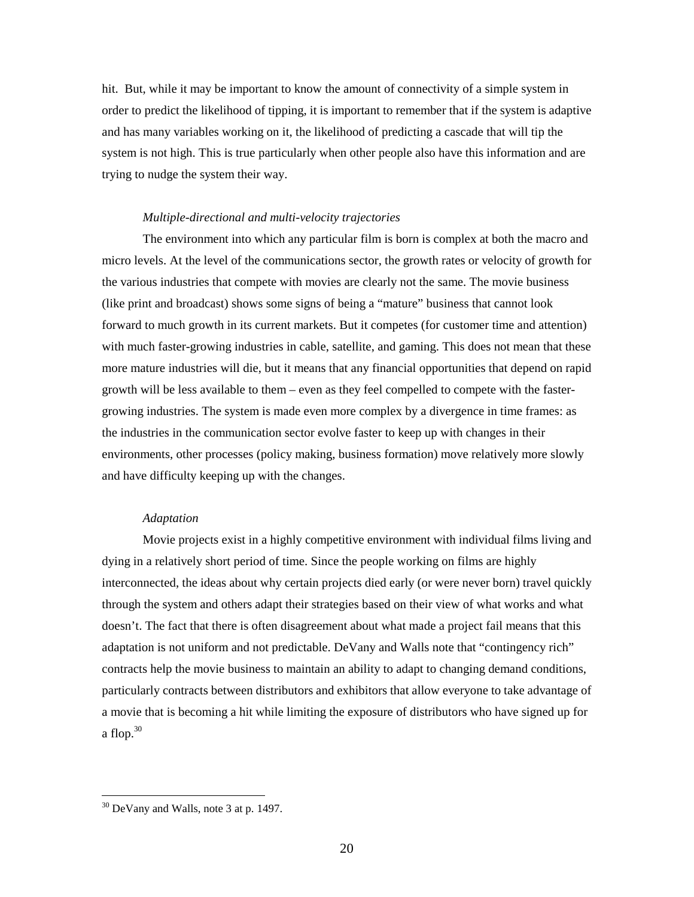hit. But, while it may be important to know the amount of connectivity of a simple system in order to predict the likelihood of tipping, it is important to remember that if the system is adaptive and has many variables working on it, the likelihood of predicting a cascade that will tip the system is not high. This is true particularly when other people also have this information and are trying to nudge the system their way.

#### *Multiple-directional and multi-velocity trajectories*

The environment into which any particular film is born is complex at both the macro and micro levels. At the level of the communications sector, the growth rates or velocity of growth for the various industries that compete with movies are clearly not the same. The movie business (like print and broadcast) shows some signs of being a "mature" business that cannot look forward to much growth in its current markets. But it competes (for customer time and attention) with much faster-growing industries in cable, satellite, and gaming. This does not mean that these more mature industries will die, but it means that any financial opportunities that depend on rapid growth will be less available to them – even as they feel compelled to compete with the fastergrowing industries. The system is made even more complex by a divergence in time frames: as the industries in the communication sector evolve faster to keep up with changes in their environments, other processes (policy making, business formation) move relatively more slowly and have difficulty keeping up with the changes.

#### *Adaptation*

Movie projects exist in a highly competitive environment with individual films living and dying in a relatively short period of time. Since the people working on films are highly interconnected, the ideas about why certain projects died early (or were never born) travel quickly through the system and others adapt their strategies based on their view of what works and what doesn't. The fact that there is often disagreement about what made a project fail means that this adaptation is not uniform and not predictable. DeVany and Walls note that "contingency rich" contracts help the movie business to maintain an ability to adapt to changing demand conditions, particularly contracts between distributors and exhibitors that allow everyone to take advantage of a movie that is becoming a hit while limiting the exposure of distributors who have signed up for a flop. $30$ 

<sup>&</sup>lt;sup>30</sup> DeVany and Walls, note 3 at p. 1497.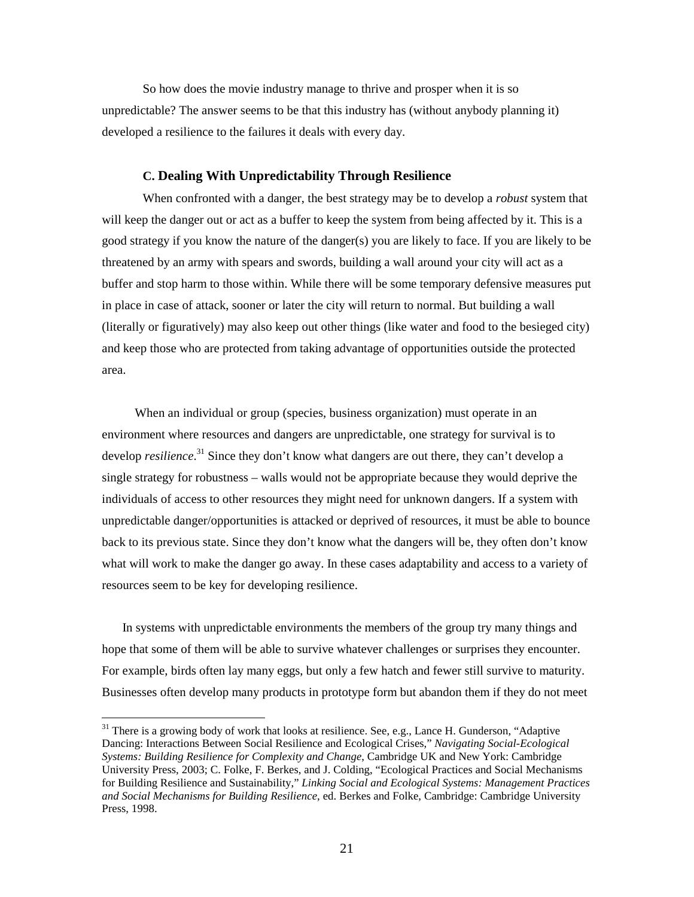So how does the movie industry manage to thrive and prosper when it is so unpredictable? The answer seems to be that this industry has (without anybody planning it) developed a resilience to the failures it deals with every day.

#### **C. Dealing With Unpredictability Through Resilience**

 When confronted with a danger, the best strategy may be to develop a *robust* system that will keep the danger out or act as a buffer to keep the system from being affected by it. This is a good strategy if you know the nature of the danger(s) you are likely to face. If you are likely to be threatened by an army with spears and swords, building a wall around your city will act as a buffer and stop harm to those within. While there will be some temporary defensive measures put in place in case of attack, sooner or later the city will return to normal. But building a wall (literally or figuratively) may also keep out other things (like water and food to the besieged city) and keep those who are protected from taking advantage of opportunities outside the protected area.

 When an individual or group (species, business organization) must operate in an environment where resources and dangers are unpredictable, one strategy for survival is to develop *resilience*. 31 Since they don't know what dangers are out there, they can't develop a single strategy for robustness – walls would not be appropriate because they would deprive the individuals of access to other resources they might need for unknown dangers. If a system with unpredictable danger/opportunities is attacked or deprived of resources, it must be able to bounce back to its previous state. Since they don't know what the dangers will be, they often don't know what will work to make the danger go away. In these cases adaptability and access to a variety of resources seem to be key for developing resilience.

In systems with unpredictable environments the members of the group try many things and hope that some of them will be able to survive whatever challenges or surprises they encounter. For example, birds often lay many eggs, but only a few hatch and fewer still survive to maturity. Businesses often develop many products in prototype form but abandon them if they do not meet

<sup>&</sup>lt;sup>31</sup> There is a growing body of work that looks at resilience. See, e.g., Lance H. Gunderson, "Adaptive Dancing: Interactions Between Social Resilience and Ecological Crises," *Navigating Social-Ecological Systems: Building Resilience for Complexity and Change*, Cambridge UK and New York: Cambridge University Press, 2003; C. Folke, F. Berkes, and J. Colding, "Ecological Practices and Social Mechanisms for Building Resilience and Sustainability," *Linking Social and Ecological Systems: Management Practices and Social Mechanisms for Building Resilience*, ed. Berkes and Folke, Cambridge: Cambridge University Press, 1998.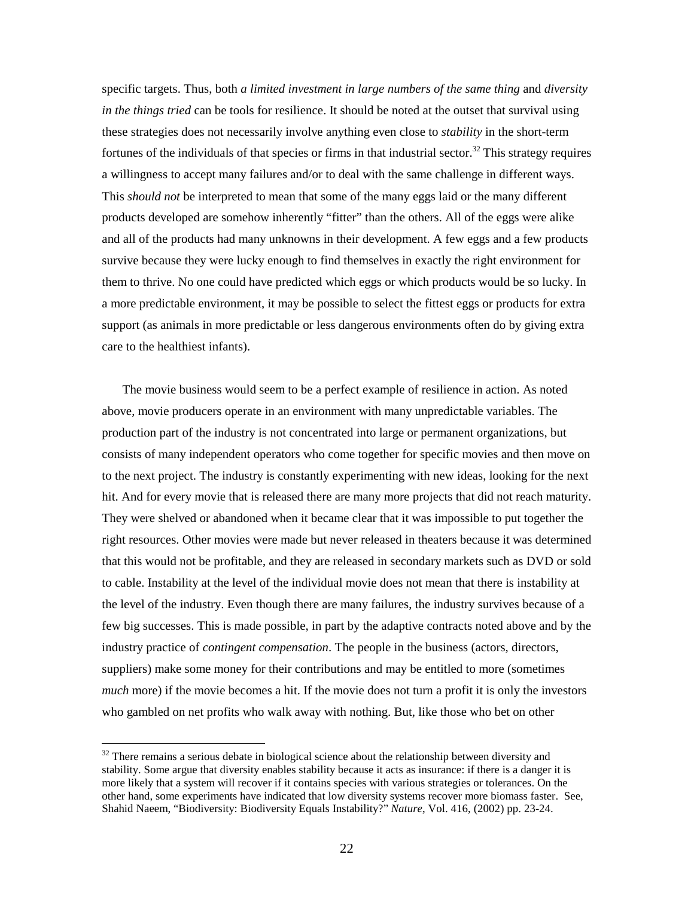specific targets. Thus, both *a limited investment in large numbers of the same thing* and *diversity in the things tried* can be tools for resilience. It should be noted at the outset that survival using these strategies does not necessarily involve anything even close to *stability* in the short-term fortunes of the individuals of that species or firms in that industrial sector.<sup>32</sup> This strategy requires a willingness to accept many failures and/or to deal with the same challenge in different ways. This *should not* be interpreted to mean that some of the many eggs laid or the many different products developed are somehow inherently "fitter" than the others. All of the eggs were alike and all of the products had many unknowns in their development. A few eggs and a few products survive because they were lucky enough to find themselves in exactly the right environment for them to thrive. No one could have predicted which eggs or which products would be so lucky. In a more predictable environment, it may be possible to select the fittest eggs or products for extra support (as animals in more predictable or less dangerous environments often do by giving extra care to the healthiest infants).

The movie business would seem to be a perfect example of resilience in action. As noted above, movie producers operate in an environment with many unpredictable variables. The production part of the industry is not concentrated into large or permanent organizations, but consists of many independent operators who come together for specific movies and then move on to the next project. The industry is constantly experimenting with new ideas, looking for the next hit. And for every movie that is released there are many more projects that did not reach maturity. They were shelved or abandoned when it became clear that it was impossible to put together the right resources. Other movies were made but never released in theaters because it was determined that this would not be profitable, and they are released in secondary markets such as DVD or sold to cable. Instability at the level of the individual movie does not mean that there is instability at the level of the industry. Even though there are many failures, the industry survives because of a few big successes. This is made possible, in part by the adaptive contracts noted above and by the industry practice of *contingent compensation*. The people in the business (actors, directors, suppliers) make some money for their contributions and may be entitled to more (sometimes *much* more) if the movie becomes a hit. If the movie does not turn a profit it is only the investors who gambled on net profits who walk away with nothing. But, like those who bet on other

 $32$  There remains a serious debate in biological science about the relationship between diversity and stability. Some argue that diversity enables stability because it acts as insurance: if there is a danger it is more likely that a system will recover if it contains species with various strategies or tolerances. On the other hand, some experiments have indicated that low diversity systems recover more biomass faster. See, Shahid Naeem, "Biodiversity: Biodiversity Equals Instability?" *Nature*, Vol. 416, (2002) pp. 23-24.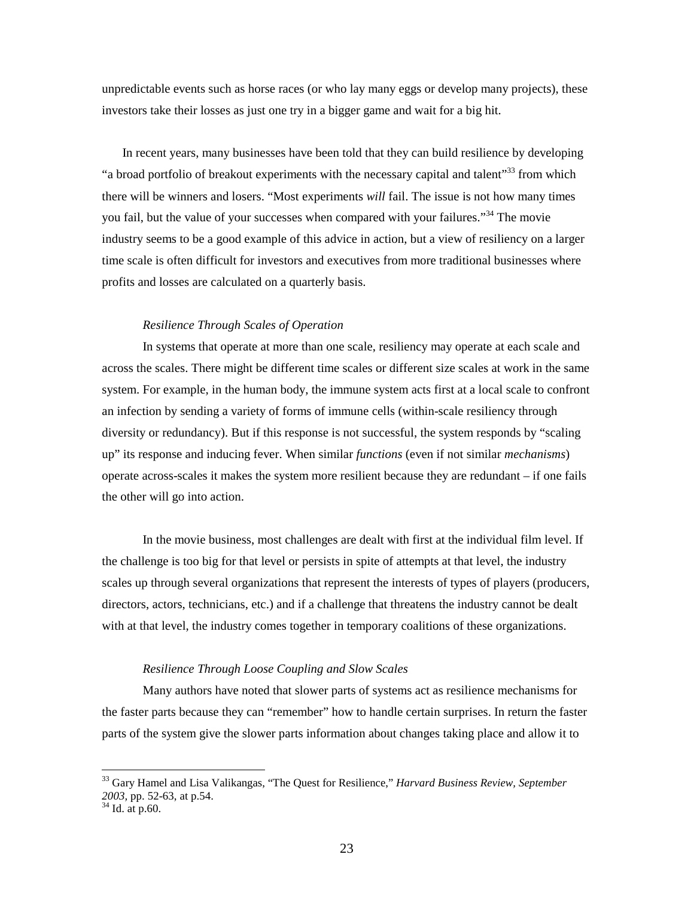unpredictable events such as horse races (or who lay many eggs or develop many projects), these investors take their losses as just one try in a bigger game and wait for a big hit.

In recent years, many businesses have been told that they can build resilience by developing "a broad portfolio of breakout experiments with the necessary capital and talent"<sup>33</sup> from which there will be winners and losers. "Most experiments *will* fail. The issue is not how many times you fail, but the value of your successes when compared with your failures."<sup>34</sup> The movie industry seems to be a good example of this advice in action, but a view of resiliency on a larger time scale is often difficult for investors and executives from more traditional businesses where profits and losses are calculated on a quarterly basis.

#### *Resilience Through Scales of Operation*

 In systems that operate at more than one scale, resiliency may operate at each scale and across the scales. There might be different time scales or different size scales at work in the same system. For example, in the human body, the immune system acts first at a local scale to confront an infection by sending a variety of forms of immune cells (within-scale resiliency through diversity or redundancy). But if this response is not successful, the system responds by "scaling up" its response and inducing fever. When similar *functions* (even if not similar *mechanisms*) operate across-scales it makes the system more resilient because they are redundant – if one fails the other will go into action.

 In the movie business, most challenges are dealt with first at the individual film level. If the challenge is too big for that level or persists in spite of attempts at that level, the industry scales up through several organizations that represent the interests of types of players (producers, directors, actors, technicians, etc.) and if a challenge that threatens the industry cannot be dealt with at that level, the industry comes together in temporary coalitions of these organizations.

#### *Resilience Through Loose Coupling and Slow Scales*

 Many authors have noted that slower parts of systems act as resilience mechanisms for the faster parts because they can "remember" how to handle certain surprises. In return the faster parts of the system give the slower parts information about changes taking place and allow it to

<sup>33</sup> Gary Hamel and Lisa Valikangas, "The Quest for Resilience," *Harvard Business Review, September 2003,* pp. 52-63, at p.54. 34 Id. at p.60.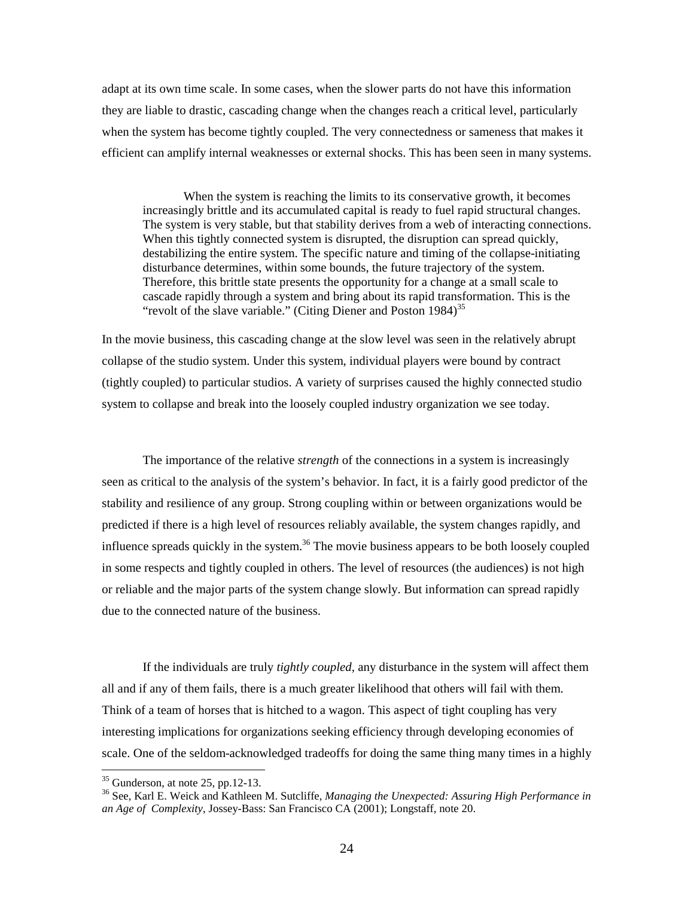adapt at its own time scale. In some cases, when the slower parts do not have this information they are liable to drastic, cascading change when the changes reach a critical level, particularly when the system has become tightly coupled. The very connectedness or sameness that makes it efficient can amplify internal weaknesses or external shocks. This has been seen in many systems.

 When the system is reaching the limits to its conservative growth, it becomes increasingly brittle and its accumulated capital is ready to fuel rapid structural changes. The system is very stable, but that stability derives from a web of interacting connections. When this tightly connected system is disrupted, the disruption can spread quickly, destabilizing the entire system. The specific nature and timing of the collapse-initiating disturbance determines, within some bounds, the future trajectory of the system. Therefore, this brittle state presents the opportunity for a change at a small scale to cascade rapidly through a system and bring about its rapid transformation. This is the "revolt of the slave variable." (Citing Diener and Poston  $1984$ )<sup>35</sup>

In the movie business, this cascading change at the slow level was seen in the relatively abrupt collapse of the studio system. Under this system, individual players were bound by contract (tightly coupled) to particular studios. A variety of surprises caused the highly connected studio system to collapse and break into the loosely coupled industry organization we see today.

The importance of the relative *strength* of the connections in a system is increasingly seen as critical to the analysis of the system's behavior. In fact, it is a fairly good predictor of the stability and resilience of any group. Strong coupling within or between organizations would be predicted if there is a high level of resources reliably available, the system changes rapidly, and influence spreads quickly in the system.<sup>36</sup> The movie business appears to be both loosely coupled in some respects and tightly coupled in others. The level of resources (the audiences) is not high or reliable and the major parts of the system change slowly. But information can spread rapidly due to the connected nature of the business.

If the individuals are truly *tightly coupled,* any disturbance in the system will affect them all and if any of them fails, there is a much greater likelihood that others will fail with them. Think of a team of horses that is hitched to a wagon. This aspect of tight coupling has very interesting implications for organizations seeking efficiency through developing economies of scale. One of the seldom-acknowledged tradeoffs for doing the same thing many times in a highly

 $35$  Gunderson, at note 25, pp.12-13.

<sup>36</sup> See, Karl E. Weick and Kathleen M. Sutcliffe, *Managing the Unexpected: Assuring High Performance in an Age of Complexity*, Jossey-Bass: San Francisco CA (2001); Longstaff, note 20.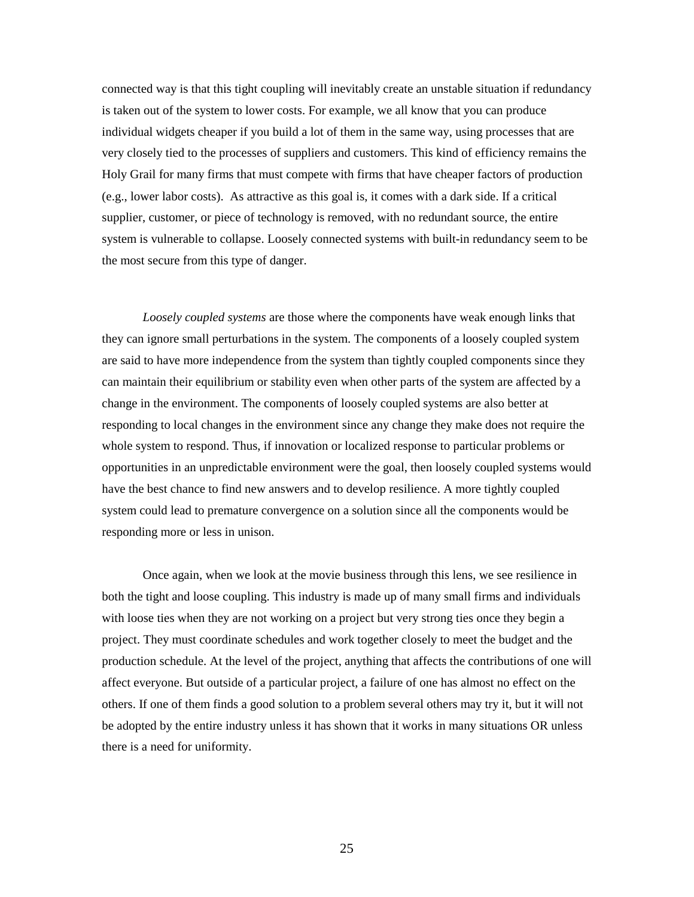connected way is that this tight coupling will inevitably create an unstable situation if redundancy is taken out of the system to lower costs. For example, we all know that you can produce individual widgets cheaper if you build a lot of them in the same way, using processes that are very closely tied to the processes of suppliers and customers. This kind of efficiency remains the Holy Grail for many firms that must compete with firms that have cheaper factors of production (e.g., lower labor costs). As attractive as this goal is, it comes with a dark side. If a critical supplier, customer, or piece of technology is removed, with no redundant source, the entire system is vulnerable to collapse. Loosely connected systems with built-in redundancy seem to be the most secure from this type of danger.

*Loosely coupled systems* are those where the components have weak enough links that they can ignore small perturbations in the system. The components of a loosely coupled system are said to have more independence from the system than tightly coupled components since they can maintain their equilibrium or stability even when other parts of the system are affected by a change in the environment. The components of loosely coupled systems are also better at responding to local changes in the environment since any change they make does not require the whole system to respond. Thus, if innovation or localized response to particular problems or opportunities in an unpredictable environment were the goal, then loosely coupled systems would have the best chance to find new answers and to develop resilience. A more tightly coupled system could lead to premature convergence on a solution since all the components would be responding more or less in unison.

 Once again, when we look at the movie business through this lens, we see resilience in both the tight and loose coupling. This industry is made up of many small firms and individuals with loose ties when they are not working on a project but very strong ties once they begin a project. They must coordinate schedules and work together closely to meet the budget and the production schedule. At the level of the project, anything that affects the contributions of one will affect everyone. But outside of a particular project, a failure of one has almost no effect on the others. If one of them finds a good solution to a problem several others may try it, but it will not be adopted by the entire industry unless it has shown that it works in many situations OR unless there is a need for uniformity.

25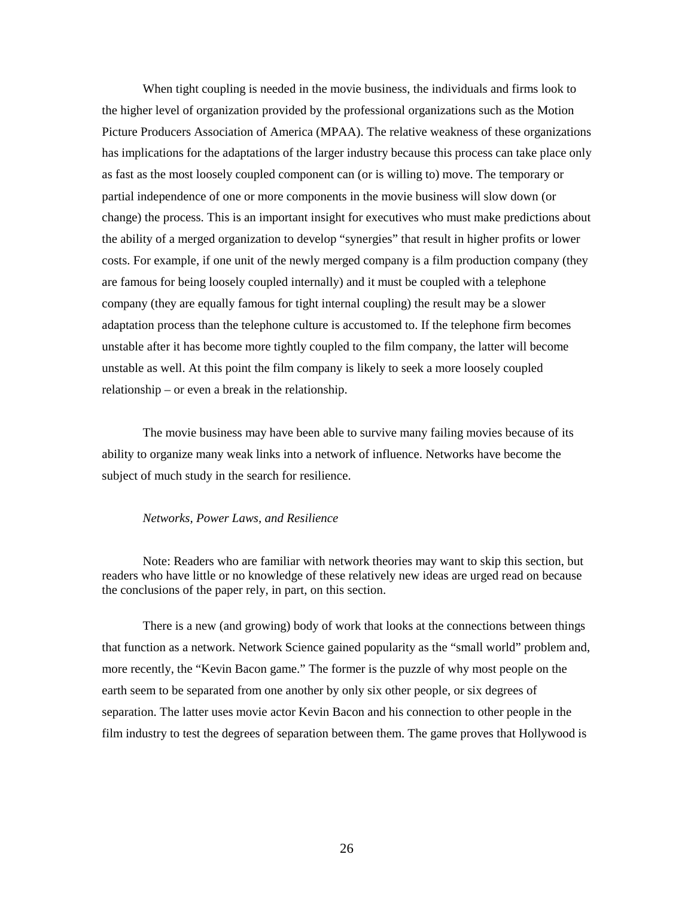When tight coupling is needed in the movie business, the individuals and firms look to the higher level of organization provided by the professional organizations such as the Motion Picture Producers Association of America (MPAA). The relative weakness of these organizations has implications for the adaptations of the larger industry because this process can take place only as fast as the most loosely coupled component can (or is willing to) move. The temporary or partial independence of one or more components in the movie business will slow down (or change) the process. This is an important insight for executives who must make predictions about the ability of a merged organization to develop "synergies" that result in higher profits or lower costs. For example, if one unit of the newly merged company is a film production company (they are famous for being loosely coupled internally) and it must be coupled with a telephone company (they are equally famous for tight internal coupling) the result may be a slower adaptation process than the telephone culture is accustomed to. If the telephone firm becomes unstable after it has become more tightly coupled to the film company, the latter will become unstable as well. At this point the film company is likely to seek a more loosely coupled relationship – or even a break in the relationship.

 The movie business may have been able to survive many failing movies because of its ability to organize many weak links into a network of influence. Networks have become the subject of much study in the search for resilience.

#### *Networks, Power Laws, and Resilience*

Note: Readers who are familiar with network theories may want to skip this section, but readers who have little or no knowledge of these relatively new ideas are urged read on because the conclusions of the paper rely, in part, on this section.

There is a new (and growing) body of work that looks at the connections between things that function as a network. Network Science gained popularity as the "small world" problem and, more recently, the "Kevin Bacon game." The former is the puzzle of why most people on the earth seem to be separated from one another by only six other people, or six degrees of separation. The latter uses movie actor Kevin Bacon and his connection to other people in the film industry to test the degrees of separation between them. The game proves that Hollywood is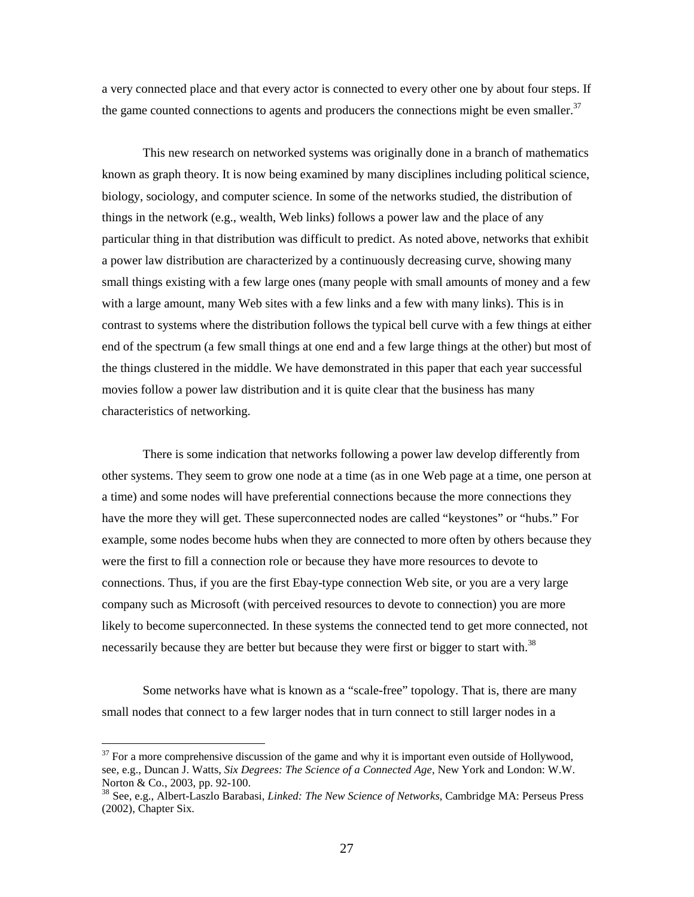a very connected place and that every actor is connected to every other one by about four steps. If the game counted connections to agents and producers the connections might be even smaller.<sup>37</sup>

This new research on networked systems was originally done in a branch of mathematics known as graph theory. It is now being examined by many disciplines including political science, biology, sociology, and computer science. In some of the networks studied, the distribution of things in the network (e.g., wealth, Web links) follows a power law and the place of any particular thing in that distribution was difficult to predict. As noted above, networks that exhibit a power law distribution are characterized by a continuously decreasing curve, showing many small things existing with a few large ones (many people with small amounts of money and a few with a large amount, many Web sites with a few links and a few with many links). This is in contrast to systems where the distribution follows the typical bell curve with a few things at either end of the spectrum (a few small things at one end and a few large things at the other) but most of the things clustered in the middle. We have demonstrated in this paper that each year successful movies follow a power law distribution and it is quite clear that the business has many characteristics of networking.

 There is some indication that networks following a power law develop differently from other systems. They seem to grow one node at a time (as in one Web page at a time, one person at a time) and some nodes will have preferential connections because the more connections they have the more they will get. These superconnected nodes are called "keystones" or "hubs." For example, some nodes become hubs when they are connected to more often by others because they were the first to fill a connection role or because they have more resources to devote to connections. Thus, if you are the first Ebay-type connection Web site, or you are a very large company such as Microsoft (with perceived resources to devote to connection) you are more likely to become superconnected. In these systems the connected tend to get more connected, not necessarily because they are better but because they were first or bigger to start with.<sup>38</sup>

Some networks have what is known as a "scale-free" topology. That is, there are many small nodes that connect to a few larger nodes that in turn connect to still larger nodes in a

 $37$  For a more comprehensive discussion of the game and why it is important even outside of Hollywood, see, e.g., Duncan J. Watts, *Six Degrees: The Science of a Connected Age*, New York and London: W.W. Norton & Co., 2003, pp. 92-100.<br><sup>38</sup> See, e.g., Albert-Laszlo Barabasi, *Linked: The New Science of Networks*, Cambridge MA: Perseus Press

<sup>(2002),</sup> Chapter Six.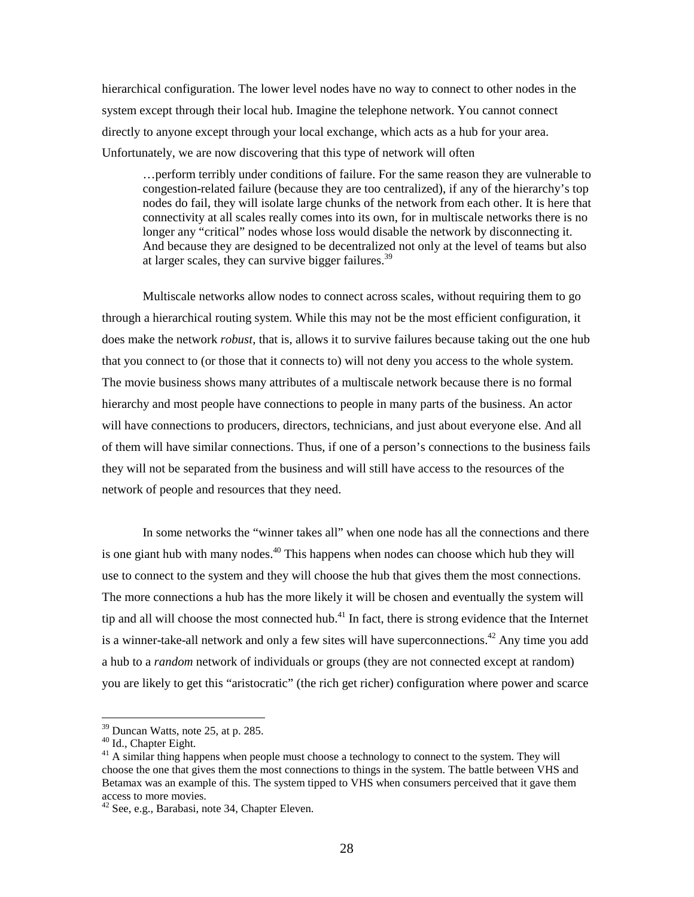hierarchical configuration. The lower level nodes have no way to connect to other nodes in the system except through their local hub. Imagine the telephone network. You cannot connect directly to anyone except through your local exchange, which acts as a hub for your area. Unfortunately, we are now discovering that this type of network will often

…perform terribly under conditions of failure. For the same reason they are vulnerable to congestion-related failure (because they are too centralized), if any of the hierarchy's top nodes do fail, they will isolate large chunks of the network from each other. It is here that connectivity at all scales really comes into its own, for in multiscale networks there is no longer any "critical" nodes whose loss would disable the network by disconnecting it. And because they are designed to be decentralized not only at the level of teams but also at larger scales, they can survive bigger failures.<sup>39</sup>

Multiscale networks allow nodes to connect across scales, without requiring them to go through a hierarchical routing system. While this may not be the most efficient configuration, it does make the network *robust*, that is, allows it to survive failures because taking out the one hub that you connect to (or those that it connects to) will not deny you access to the whole system. The movie business shows many attributes of a multiscale network because there is no formal hierarchy and most people have connections to people in many parts of the business. An actor will have connections to producers, directors, technicians, and just about everyone else. And all of them will have similar connections. Thus, if one of a person's connections to the business fails they will not be separated from the business and will still have access to the resources of the network of people and resources that they need.

In some networks the "winner takes all" when one node has all the connections and there is one giant hub with many nodes.<sup>40</sup> This happens when nodes can choose which hub they will use to connect to the system and they will choose the hub that gives them the most connections. The more connections a hub has the more likely it will be chosen and eventually the system will tip and all will choose the most connected hub.<sup>41</sup> In fact, there is strong evidence that the Internet is a winner-take-all network and only a few sites will have superconnections.<sup>42</sup> Any time you add a hub to a *random* network of individuals or groups (they are not connected except at random) you are likely to get this "aristocratic" (the rich get richer) configuration where power and scarce

<sup>&</sup>lt;sup>39</sup> Duncan Watts, note 25, at p. 285.

<sup>40</sup> Id., Chapter Eight.

<sup>&</sup>lt;sup>41</sup> A similar thing happens when people must choose a technology to connect to the system. They will choose the one that gives them the most connections to things in the system. The battle between VHS and Betamax was an example of this. The system tipped to VHS when consumers perceived that it gave them access to more movies.

<sup>42</sup> See, e.g., Barabasi, note 34, Chapter Eleven.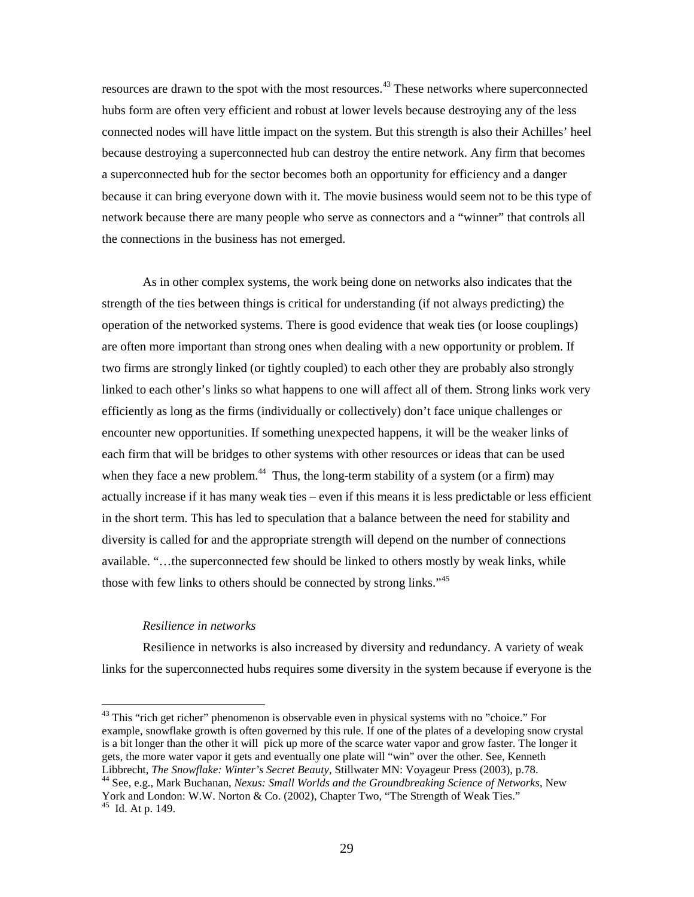resources are drawn to the spot with the most resources.<sup>43</sup> These networks where superconnected hubs form are often very efficient and robust at lower levels because destroying any of the less connected nodes will have little impact on the system. But this strength is also their Achilles' heel because destroying a superconnected hub can destroy the entire network. Any firm that becomes a superconnected hub for the sector becomes both an opportunity for efficiency and a danger because it can bring everyone down with it. The movie business would seem not to be this type of network because there are many people who serve as connectors and a "winner" that controls all the connections in the business has not emerged.

As in other complex systems, the work being done on networks also indicates that the strength of the ties between things is critical for understanding (if not always predicting) the operation of the networked systems. There is good evidence that weak ties (or loose couplings) are often more important than strong ones when dealing with a new opportunity or problem. If two firms are strongly linked (or tightly coupled) to each other they are probably also strongly linked to each other's links so what happens to one will affect all of them. Strong links work very efficiently as long as the firms (individually or collectively) don't face unique challenges or encounter new opportunities. If something unexpected happens, it will be the weaker links of each firm that will be bridges to other systems with other resources or ideas that can be used when they face a new problem.<sup>44</sup> Thus, the long-term stability of a system (or a firm) may actually increase if it has many weak ties – even if this means it is less predictable or less efficient in the short term. This has led to speculation that a balance between the need for stability and diversity is called for and the appropriate strength will depend on the number of connections available. "…the superconnected few should be linked to others mostly by weak links, while those with few links to others should be connected by strong links."45

#### *Resilience in networks*

Resilience in networks is also increased by diversity and redundancy. A variety of weak links for the superconnected hubs requires some diversity in the system because if everyone is the

<sup>&</sup>lt;sup>43</sup> This "rich get richer" phenomenon is observable even in physical systems with no "choice." For example, snowflake growth is often governed by this rule. If one of the plates of a developing snow crystal is a bit longer than the other it will pick up more of the scarce water vapor and grow faster. The longer it gets, the more water vapor it gets and eventually one plate will "win" over the other. See, Kenneth

Libbrecht, *The Snowflake: Winter's Secret Beauty*, Stillwater MN: Voyageur Press (2003), p.78. 44 See, e.g., Mark Buchanan, *Nexus: Small Worlds and the Groundbreaking Science of Networks*, New York and London: W.W. Norton & Co. (2002), Chapter Two, "The Strength of Weak Ties."45 Id. At p. 149.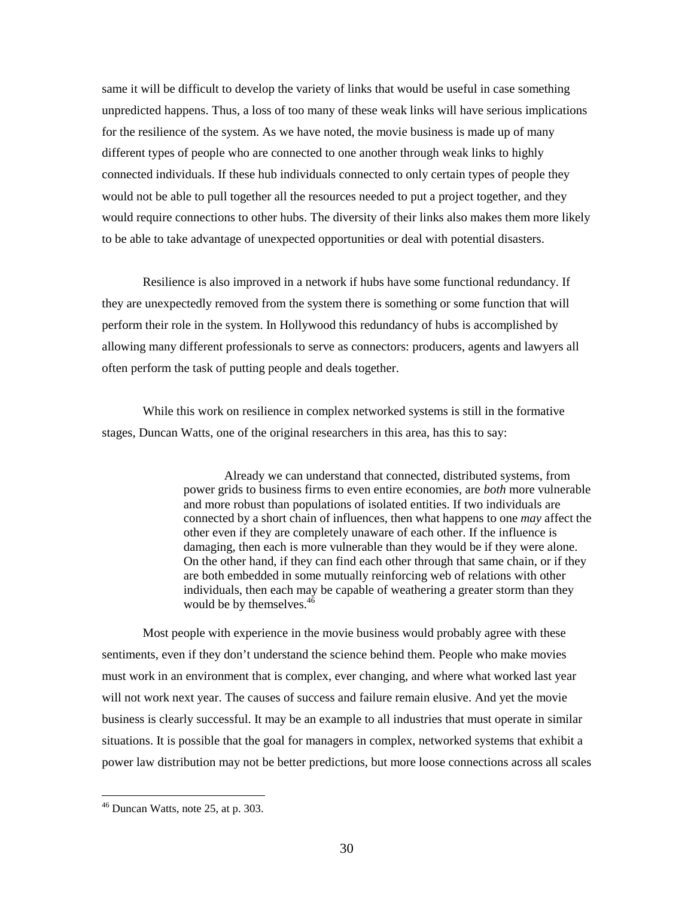same it will be difficult to develop the variety of links that would be useful in case something unpredicted happens. Thus, a loss of too many of these weak links will have serious implications for the resilience of the system. As we have noted, the movie business is made up of many different types of people who are connected to one another through weak links to highly connected individuals. If these hub individuals connected to only certain types of people they would not be able to pull together all the resources needed to put a project together, and they would require connections to other hubs. The diversity of their links also makes them more likely to be able to take advantage of unexpected opportunities or deal with potential disasters.

Resilience is also improved in a network if hubs have some functional redundancy. If they are unexpectedly removed from the system there is something or some function that will perform their role in the system. In Hollywood this redundancy of hubs is accomplished by allowing many different professionals to serve as connectors: producers, agents and lawyers all often perform the task of putting people and deals together.

 While this work on resilience in complex networked systems is still in the formative stages, Duncan Watts, one of the original researchers in this area, has this to say:

> Already we can understand that connected, distributed systems, from power grids to business firms to even entire economies, are *both* more vulnerable and more robust than populations of isolated entities. If two individuals are connected by a short chain of influences, then what happens to one *may* affect the other even if they are completely unaware of each other. If the influence is damaging, then each is more vulnerable than they would be if they were alone. On the other hand, if they can find each other through that same chain, or if they are both embedded in some mutually reinforcing web of relations with other individuals, then each may be capable of weathering a greater storm than they would be by themselves.<sup>46</sup>

Most people with experience in the movie business would probably agree with these sentiments, even if they don't understand the science behind them. People who make movies must work in an environment that is complex, ever changing, and where what worked last year will not work next year. The causes of success and failure remain elusive. And yet the movie business is clearly successful. It may be an example to all industries that must operate in similar situations. It is possible that the goal for managers in complex, networked systems that exhibit a power law distribution may not be better predictions, but more loose connections across all scales

 $46$  Duncan Watts, note 25, at p. 303.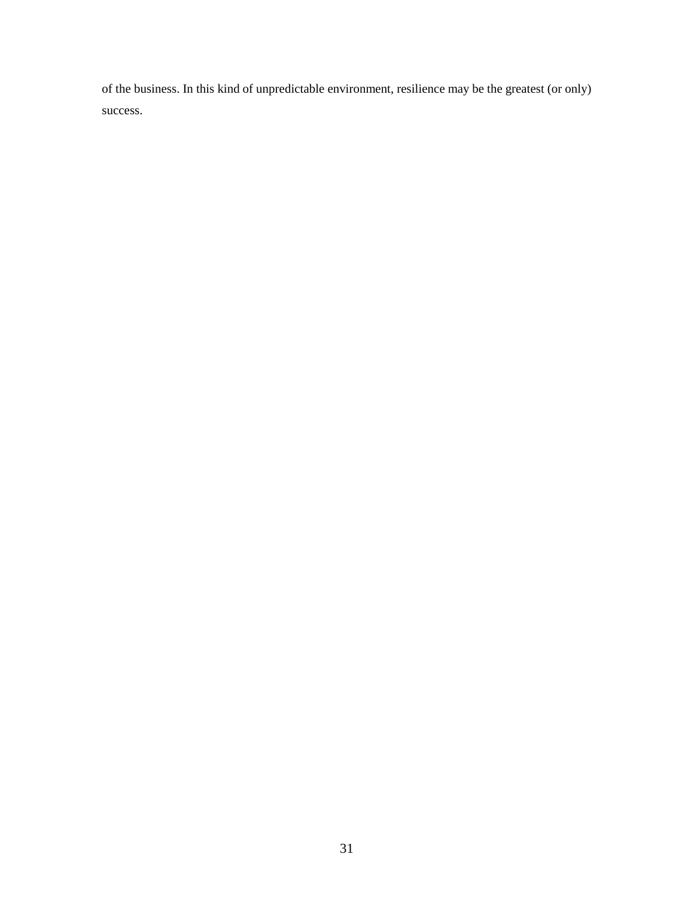of the business. In this kind of unpredictable environment, resilience may be the greatest (or only) success.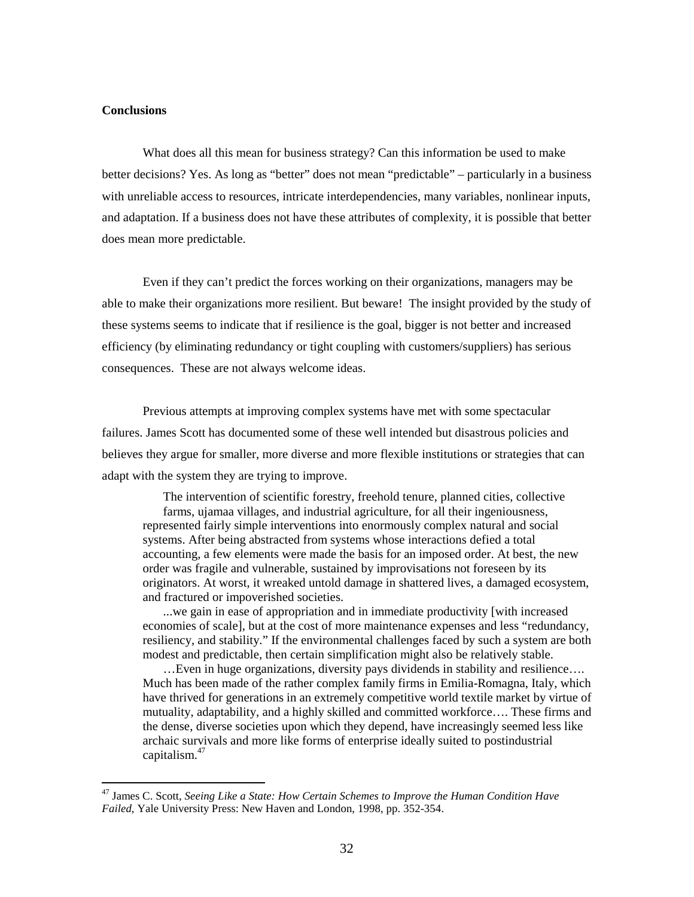#### **Conclusions**

 $\overline{a}$ 

What does all this mean for business strategy? Can this information be used to make better decisions? Yes. As long as "better" does not mean "predictable" – particularly in a business with unreliable access to resources, intricate interdependencies, many variables, nonlinear inputs, and adaptation. If a business does not have these attributes of complexity, it is possible that better does mean more predictable.

 Even if they can't predict the forces working on their organizations, managers may be able to make their organizations more resilient. But beware! The insight provided by the study of these systems seems to indicate that if resilience is the goal, bigger is not better and increased efficiency (by eliminating redundancy or tight coupling with customers/suppliers) has serious consequences. These are not always welcome ideas.

 Previous attempts at improving complex systems have met with some spectacular failures. James Scott has documented some of these well intended but disastrous policies and believes they argue for smaller, more diverse and more flexible institutions or strategies that can adapt with the system they are trying to improve.

The intervention of scientific forestry, freehold tenure, planned cities, collective farms, ujamaa villages, and industrial agriculture, for all their ingeniousness, represented fairly simple interventions into enormously complex natural and social systems. After being abstracted from systems whose interactions defied a total accounting, a few elements were made the basis for an imposed order. At best, the new order was fragile and vulnerable, sustained by improvisations not foreseen by its originators. At worst, it wreaked untold damage in shattered lives, a damaged ecosystem, and fractured or impoverished societies.

...we gain in ease of appropriation and in immediate productivity [with increased economies of scale], but at the cost of more maintenance expenses and less "redundancy, resiliency, and stability." If the environmental challenges faced by such a system are both modest and predictable, then certain simplification might also be relatively stable.

…Even in huge organizations, diversity pays dividends in stability and resilience…. Much has been made of the rather complex family firms in Emilia-Romagna, Italy, which have thrived for generations in an extremely competitive world textile market by virtue of mutuality, adaptability, and a highly skilled and committed workforce…. These firms and the dense, diverse societies upon which they depend, have increasingly seemed less like archaic survivals and more like forms of enterprise ideally suited to postindustrial capitalism.47

<sup>47</sup> James C. Scott, *Seeing Like a State: How Certain Schemes to Improve the Human Condition Have Failed*, Yale University Press: New Haven and London, 1998, pp. 352-354.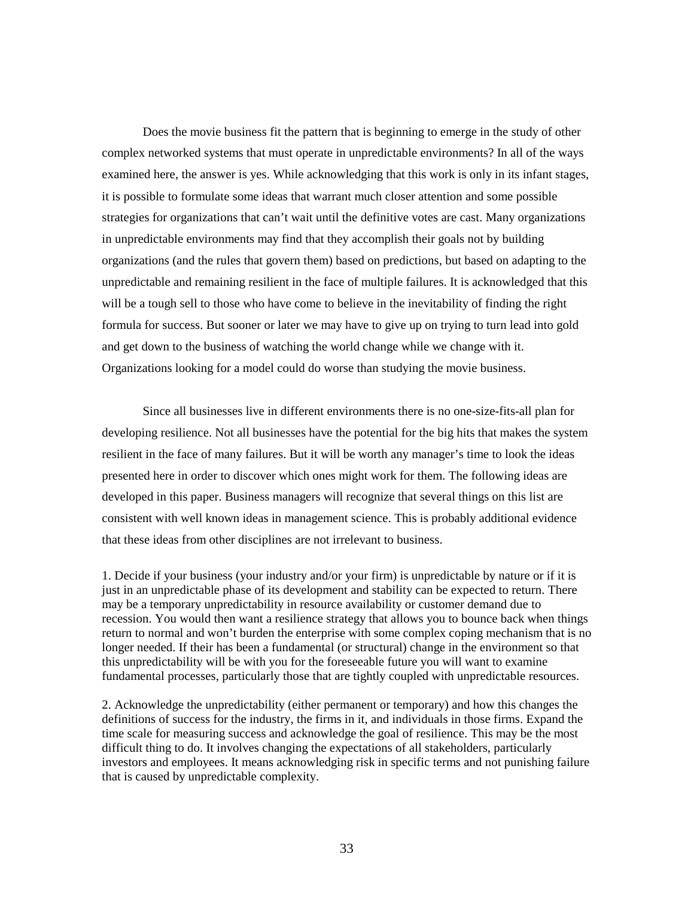Does the movie business fit the pattern that is beginning to emerge in the study of other complex networked systems that must operate in unpredictable environments? In all of the ways examined here, the answer is yes. While acknowledging that this work is only in its infant stages, it is possible to formulate some ideas that warrant much closer attention and some possible strategies for organizations that can't wait until the definitive votes are cast. Many organizations in unpredictable environments may find that they accomplish their goals not by building organizations (and the rules that govern them) based on predictions, but based on adapting to the unpredictable and remaining resilient in the face of multiple failures. It is acknowledged that this will be a tough sell to those who have come to believe in the inevitability of finding the right formula for success. But sooner or later we may have to give up on trying to turn lead into gold and get down to the business of watching the world change while we change with it. Organizations looking for a model could do worse than studying the movie business.

Since all businesses live in different environments there is no one-size-fits-all plan for developing resilience. Not all businesses have the potential for the big hits that makes the system resilient in the face of many failures. But it will be worth any manager's time to look the ideas presented here in order to discover which ones might work for them. The following ideas are developed in this paper. Business managers will recognize that several things on this list are consistent with well known ideas in management science. This is probably additional evidence that these ideas from other disciplines are not irrelevant to business.

1. Decide if your business (your industry and/or your firm) is unpredictable by nature or if it is just in an unpredictable phase of its development and stability can be expected to return. There may be a temporary unpredictability in resource availability or customer demand due to recession. You would then want a resilience strategy that allows you to bounce back when things return to normal and won't burden the enterprise with some complex coping mechanism that is no longer needed. If their has been a fundamental (or structural) change in the environment so that this unpredictability will be with you for the foreseeable future you will want to examine fundamental processes, particularly those that are tightly coupled with unpredictable resources.

2. Acknowledge the unpredictability (either permanent or temporary) and how this changes the definitions of success for the industry, the firms in it, and individuals in those firms. Expand the time scale for measuring success and acknowledge the goal of resilience. This may be the most difficult thing to do. It involves changing the expectations of all stakeholders, particularly investors and employees. It means acknowledging risk in specific terms and not punishing failure that is caused by unpredictable complexity.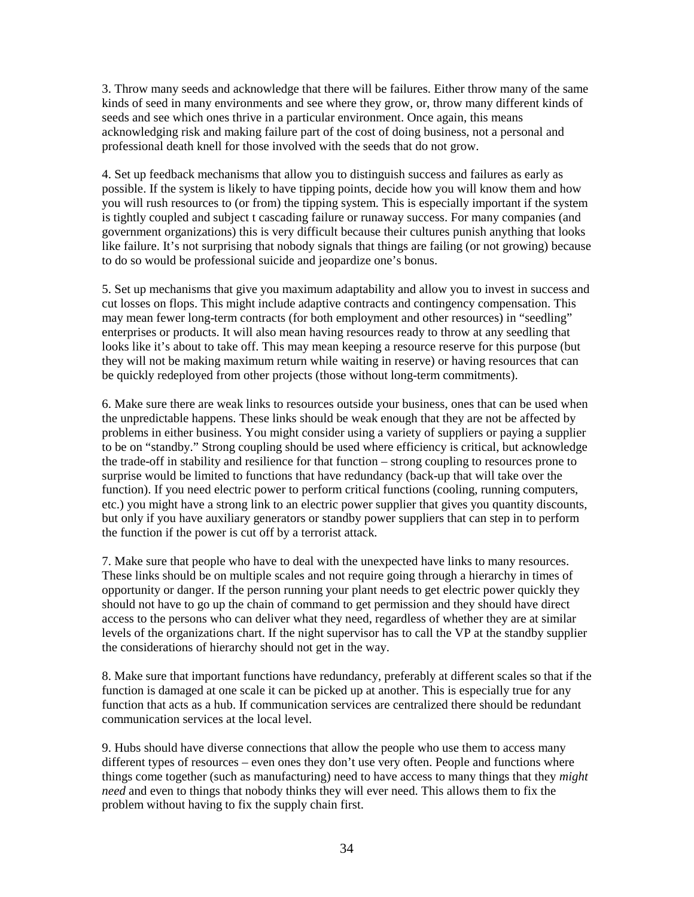3. Throw many seeds and acknowledge that there will be failures. Either throw many of the same kinds of seed in many environments and see where they grow, or, throw many different kinds of seeds and see which ones thrive in a particular environment. Once again, this means acknowledging risk and making failure part of the cost of doing business, not a personal and professional death knell for those involved with the seeds that do not grow.

4. Set up feedback mechanisms that allow you to distinguish success and failures as early as possible. If the system is likely to have tipping points, decide how you will know them and how you will rush resources to (or from) the tipping system. This is especially important if the system is tightly coupled and subject t cascading failure or runaway success. For many companies (and government organizations) this is very difficult because their cultures punish anything that looks like failure. It's not surprising that nobody signals that things are failing (or not growing) because to do so would be professional suicide and jeopardize one's bonus.

5. Set up mechanisms that give you maximum adaptability and allow you to invest in success and cut losses on flops. This might include adaptive contracts and contingency compensation. This may mean fewer long-term contracts (for both employment and other resources) in "seedling" enterprises or products. It will also mean having resources ready to throw at any seedling that looks like it's about to take off. This may mean keeping a resource reserve for this purpose (but they will not be making maximum return while waiting in reserve) or having resources that can be quickly redeployed from other projects (those without long-term commitments).

6. Make sure there are weak links to resources outside your business, ones that can be used when the unpredictable happens. These links should be weak enough that they are not be affected by problems in either business. You might consider using a variety of suppliers or paying a supplier to be on "standby." Strong coupling should be used where efficiency is critical, but acknowledge the trade-off in stability and resilience for that function – strong coupling to resources prone to surprise would be limited to functions that have redundancy (back-up that will take over the function). If you need electric power to perform critical functions (cooling, running computers, etc.) you might have a strong link to an electric power supplier that gives you quantity discounts, but only if you have auxiliary generators or standby power suppliers that can step in to perform the function if the power is cut off by a terrorist attack.

7. Make sure that people who have to deal with the unexpected have links to many resources. These links should be on multiple scales and not require going through a hierarchy in times of opportunity or danger. If the person running your plant needs to get electric power quickly they should not have to go up the chain of command to get permission and they should have direct access to the persons who can deliver what they need, regardless of whether they are at similar levels of the organizations chart. If the night supervisor has to call the VP at the standby supplier the considerations of hierarchy should not get in the way.

8. Make sure that important functions have redundancy, preferably at different scales so that if the function is damaged at one scale it can be picked up at another. This is especially true for any function that acts as a hub. If communication services are centralized there should be redundant communication services at the local level.

9. Hubs should have diverse connections that allow the people who use them to access many different types of resources – even ones they don't use very often. People and functions where things come together (such as manufacturing) need to have access to many things that they *might need* and even to things that nobody thinks they will ever need. This allows them to fix the problem without having to fix the supply chain first.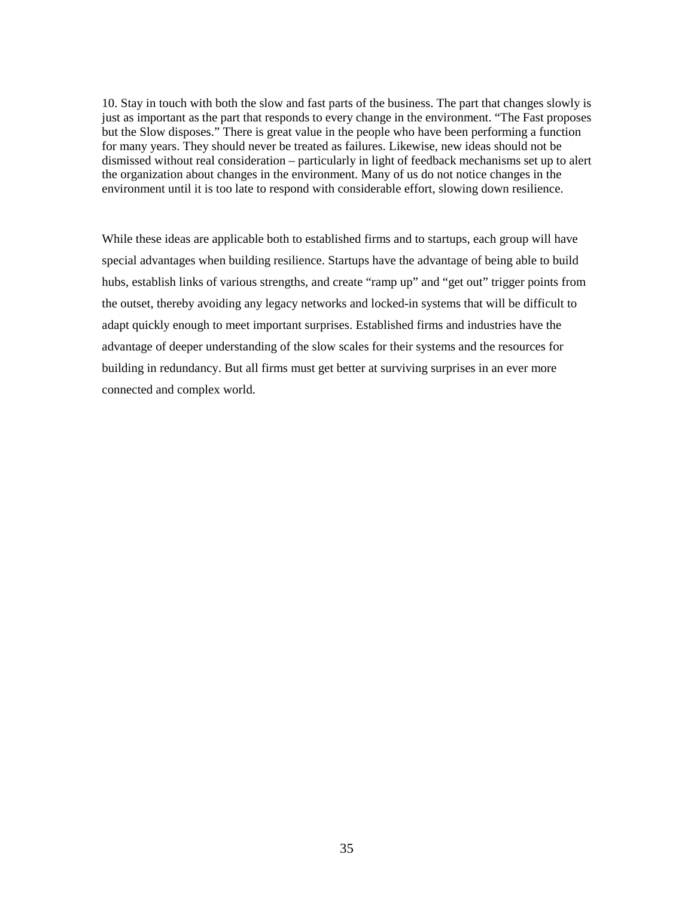10. Stay in touch with both the slow and fast parts of the business. The part that changes slowly is just as important as the part that responds to every change in the environment. "The Fast proposes but the Slow disposes." There is great value in the people who have been performing a function for many years. They should never be treated as failures. Likewise, new ideas should not be dismissed without real consideration – particularly in light of feedback mechanisms set up to alert the organization about changes in the environment. Many of us do not notice changes in the environment until it is too late to respond with considerable effort, slowing down resilience.

While these ideas are applicable both to established firms and to startups, each group will have special advantages when building resilience. Startups have the advantage of being able to build hubs, establish links of various strengths, and create "ramp up" and "get out" trigger points from the outset, thereby avoiding any legacy networks and locked-in systems that will be difficult to adapt quickly enough to meet important surprises. Established firms and industries have the advantage of deeper understanding of the slow scales for their systems and the resources for building in redundancy. But all firms must get better at surviving surprises in an ever more connected and complex world.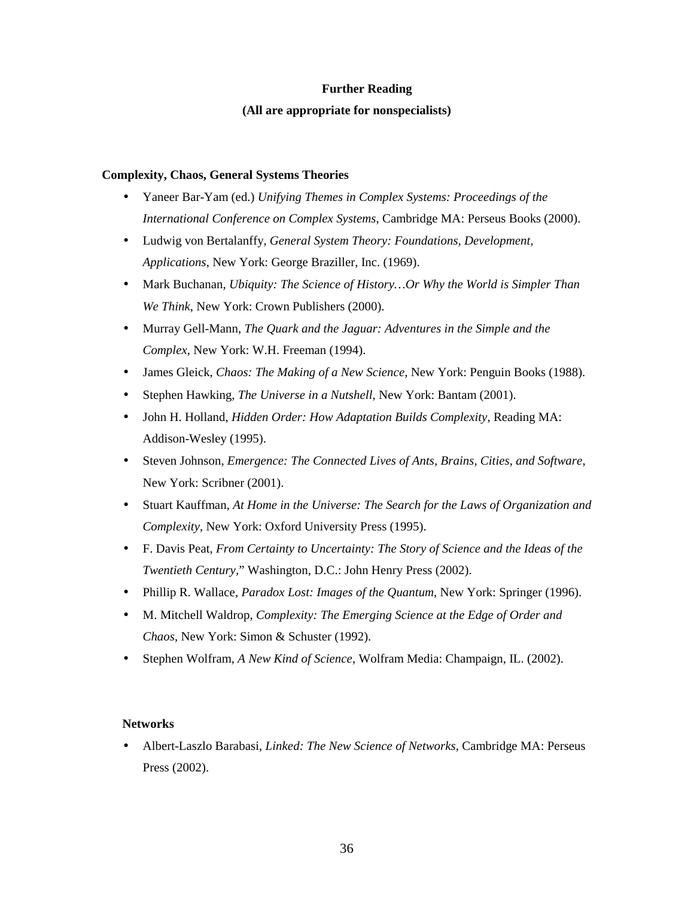#### **Further Reading**

#### **(All are appropriate for nonspecialists)**

#### **Complexity, Chaos, General Systems Theories**

- Yaneer Bar-Yam (ed.) *Unifying Themes in Complex Systems: Proceedings of the International Conference on Complex Systems*, Cambridge MA: Perseus Books (2000).
- Ludwig von Bertalanffy, *General System Theory: Foundations, Development, Applications*, New York: George Braziller, Inc. (1969).
- Mark Buchanan, *Ubiquity: The Science of History…Or Why the World is Simpler Than We Think*, New York: Crown Publishers (2000).
- Murray Gell-Mann, *The Quark and the Jaguar: Adventures in the Simple and the Complex*, New York: W.H. Freeman (1994).
- James Gleick, *Chaos: The Making of a New Science*, New York: Penguin Books (1988).
- Stephen Hawking, *The Universe in a Nutshell*, New York: Bantam (2001).
- John H. Holland, *Hidden Order: How Adaptation Builds Complexity*, Reading MA: Addison-Wesley (1995).
- Steven Johnson, *Emergence: The Connected Lives of Ants, Brains, Cities, and Software*, New York: Scribner (2001).
- Stuart Kauffman, *At Home in the Universe: The Search for the Laws of Organization and Complexity*, New York: Oxford University Press (1995).
- F. Davis Peat, *From Certainty to Uncertainty: The Story of Science and the Ideas of the Twentieth Century,*" Washington, D.C.: John Henry Press (2002).
- Phillip R. Wallace, *Paradox Lost: Images of the Quantum*, New York: Springer (1996).
- M. Mitchell Waldrop, *Complexity: The Emerging Science at the Edge of Order and Chaos*, New York: Simon & Schuster (1992).
- Stephen Wolfram, *A New Kind of Science*, Wolfram Media: Champaign, IL. (2002).

#### **Networks**

• Albert-Laszlo Barabasi, *Linked: The New Science of Networks*, Cambridge MA: Perseus Press (2002).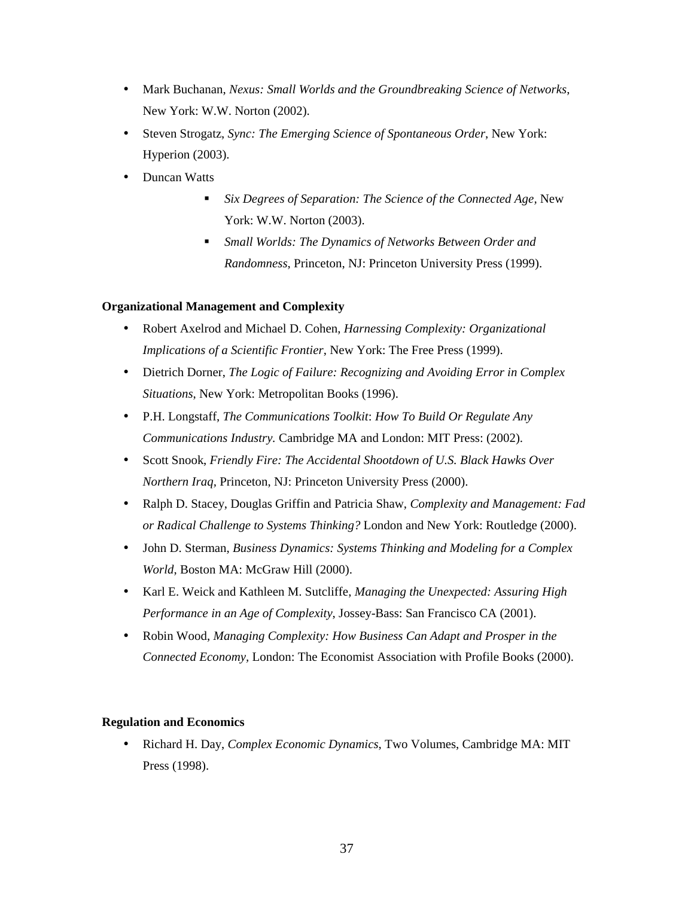- Mark Buchanan, *Nexus: Small Worlds and the Groundbreaking Science of Networks*, New York: W.W. Norton (2002).
- Steven Strogatz, *Sync: The Emerging Science of Spontaneous Order*, New York: Hyperion (2003).
- Duncan Watts
	- ! *Six Degrees of Separation: The Science of the Connected Age,* New York: W.W. Norton (2003).
	- ! *Small Worlds: The Dynamics of Networks Between Order and Randomness*, Princeton, NJ: Princeton University Press (1999).

#### **Organizational Management and Complexity**

- Robert Axelrod and Michael D. Cohen, *Harnessing Complexity: Organizational Implications of a Scientific Frontier*, New York: The Free Press (1999).
- Dietrich Dorner, *The Logic of Failure: Recognizing and Avoiding Error in Complex Situations*, New York: Metropolitan Books (1996).
- P.H. Longstaff, *The Communications Toolkit*: *How To Build Or Regulate Any Communications Industry.* Cambridge MA and London: MIT Press: (2002).
- Scott Snook, *Friendly Fire: The Accidental Shootdown of U.S. Black Hawks Over Northern Iraq,* Princeton, NJ: Princeton University Press (2000).
- Ralph D. Stacey, Douglas Griffin and Patricia Shaw, *Complexity and Management: Fad or Radical Challenge to Systems Thinking?* London and New York: Routledge (2000).
- John D. Sterman, *Business Dynamics: Systems Thinking and Modeling for a Complex World*, Boston MA: McGraw Hill (2000).
- Karl E. Weick and Kathleen M. Sutcliffe, *Managing the Unexpected: Assuring High Performance in an Age of Complexity*, Jossey-Bass: San Francisco CA (2001).
- Robin Wood, *Managing Complexity: How Business Can Adapt and Prosper in the Connected Economy,* London: The Economist Association with Profile Books (2000).

#### **Regulation and Economics**

• Richard H. Day, *Complex Economic Dynamics*, Two Volumes, Cambridge MA: MIT Press (1998).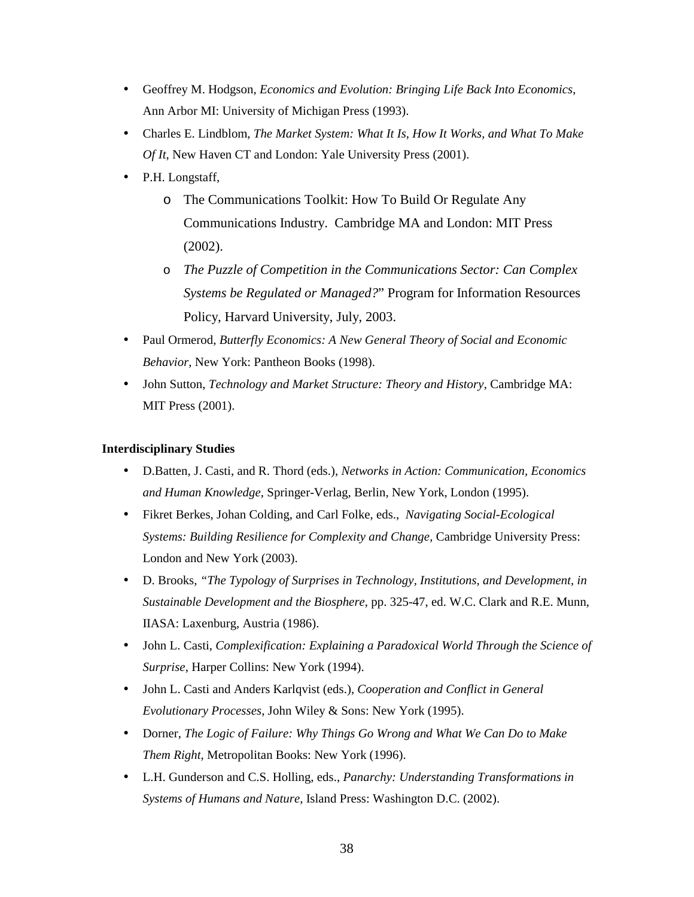- Geoffrey M. Hodgson, *Economics and Evolution: Bringing Life Back Into Economics*, Ann Arbor MI: University of Michigan Press (1993).
- Charles E. Lindblom, *The Market System: What It Is, How It Works, and What To Make Of It*, New Haven CT and London: Yale University Press (2001).
- P.H. Longstaff,
	- o The Communications Toolkit: How To Build Or Regulate Any Communications Industry. Cambridge MA and London: MIT Press (2002).
	- o *The Puzzle of Competition in the Communications Sector: Can Complex Systems be Regulated or Managed?*" Program for Information Resources Policy, Harvard University, July, 2003.
- Paul Ormerod, *Butterfly Economics: A New General Theory of Social and Economic Behavior*, New York: Pantheon Books (1998).
- John Sutton, *Technology and Market Structure: Theory and History*, Cambridge MA: MIT Press (2001).

#### **Interdisciplinary Studies**

- D.Batten, J. Casti, and R. Thord (eds.), *Networks in Action: Communication, Economics and Human Knowledge*, Springer-Verlag, Berlin, New York, London (1995).
- Fikret Berkes, Johan Colding, and Carl Folke, eds., *Navigating Social-Ecological Systems: Building Resilience for Complexity and Change*, Cambridge University Press: London and New York (2003).
- D. Brooks, *"The Typology of Surprises in Technology, Institutions, and Development, in Sustainable Development and the Biosphere*, pp. 325-47, ed. W.C. Clark and R.E. Munn, IIASA: Laxenburg, Austria (1986).
- John L. Casti, *Complexification: Explaining a Paradoxical World Through the Science of Surprise*, Harper Collins: New York (1994).
- John L. Casti and Anders Karlqvist (eds.), *Cooperation and Conflict in General Evolutionary Processes*, John Wiley & Sons: New York (1995).
- Dorner, *The Logic of Failure: Why Things Go Wrong and What We Can Do to Make Them Right*, Metropolitan Books: New York (1996).
- L.H. Gunderson and C.S. Holling, eds., *Panarchy: Understanding Transformations in Systems of Humans and Nature*, Island Press: Washington D.C. (2002).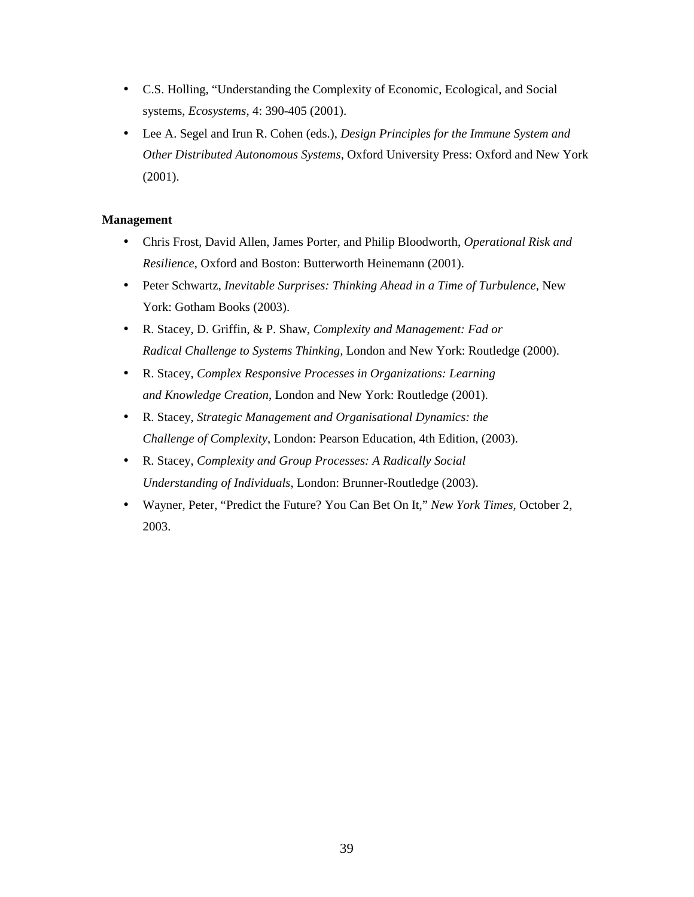- C.S. Holling, "Understanding the Complexity of Economic, Ecological, and Social systems, *Ecosystems*, 4: 390-405 (2001).
- Lee A. Segel and Irun R. Cohen (eds.), *Design Principles for the Immune System and Other Distributed Autonomous Systems*, Oxford University Press: Oxford and New York (2001).

#### **Management**

- Chris Frost, David Allen, James Porter, and Philip Bloodworth, *Operational Risk and Resilience*, Oxford and Boston: Butterworth Heinemann (2001).
- Peter Schwartz, *Inevitable Surprises: Thinking Ahead in a Time of Turbulence*, New York: Gotham Books (2003).
- R. Stacey, D. Griffin, & P. Shaw, *Complexity and Management: Fad or Radical Challenge to Systems Thinking,* London and New York: Routledge (2000).
- R. Stacey, *Complex Responsive Processes in Organizations: Learning and Knowledge Creation*, London and New York: Routledge (2001).
- R. Stacey, *Strategic Management and Organisational Dynamics: the Challenge of Complexity*, London: Pearson Education, 4th Edition, (2003).
- R. Stacey, *Complexity and Group Processes: A Radically Social Understanding of Individuals*, London: Brunner-Routledge (2003).
- Wayner, Peter, "Predict the Future? You Can Bet On It," *New York Times*, October 2, 2003.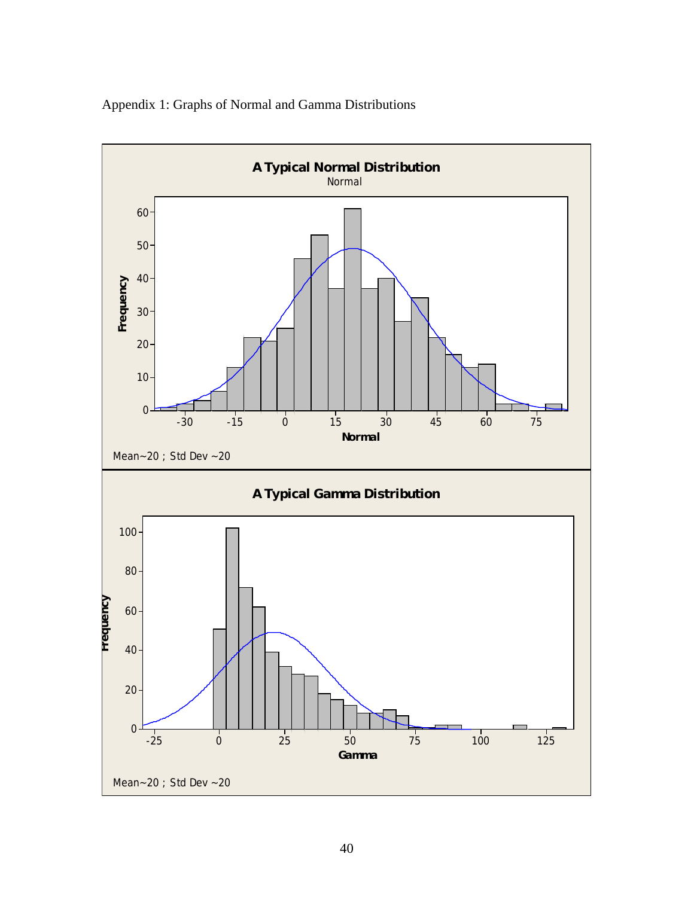

Appendix 1: Graphs of Normal and Gamma Distributions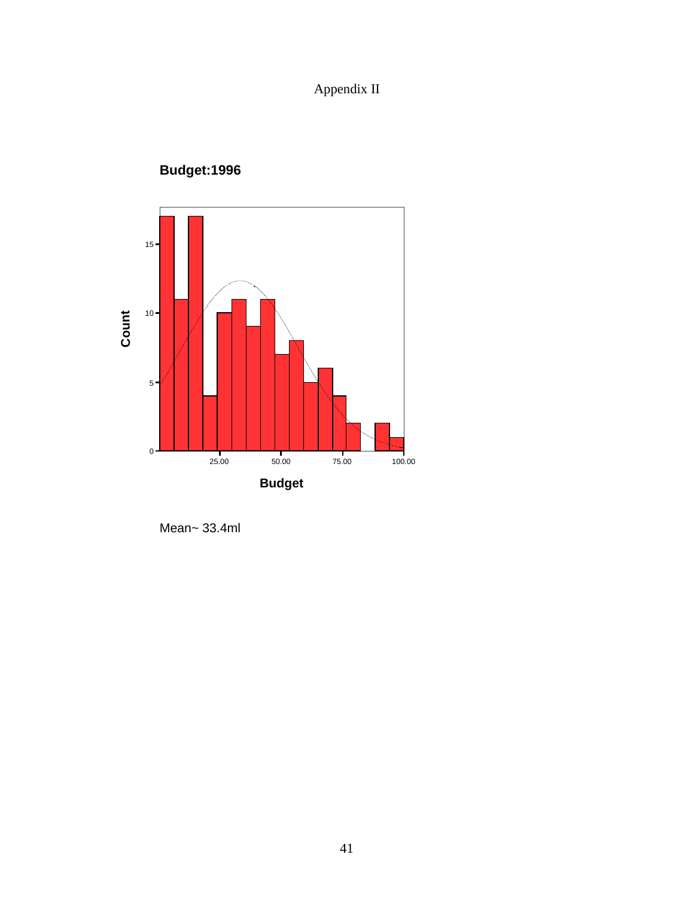# Appendix II

# **Budget:1996**



Mean~ 33.4ml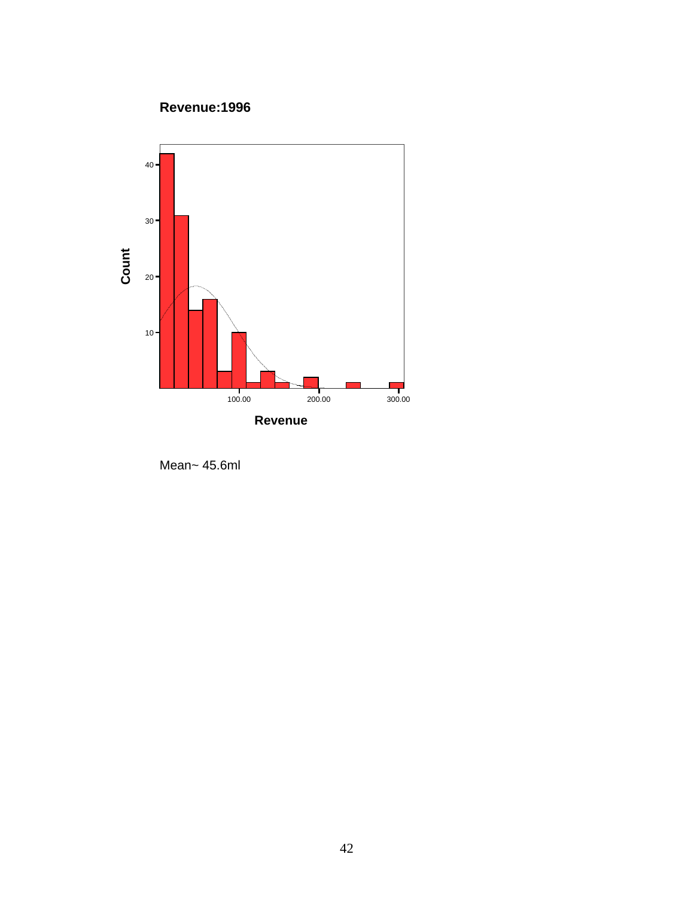



Mean~ 45.6ml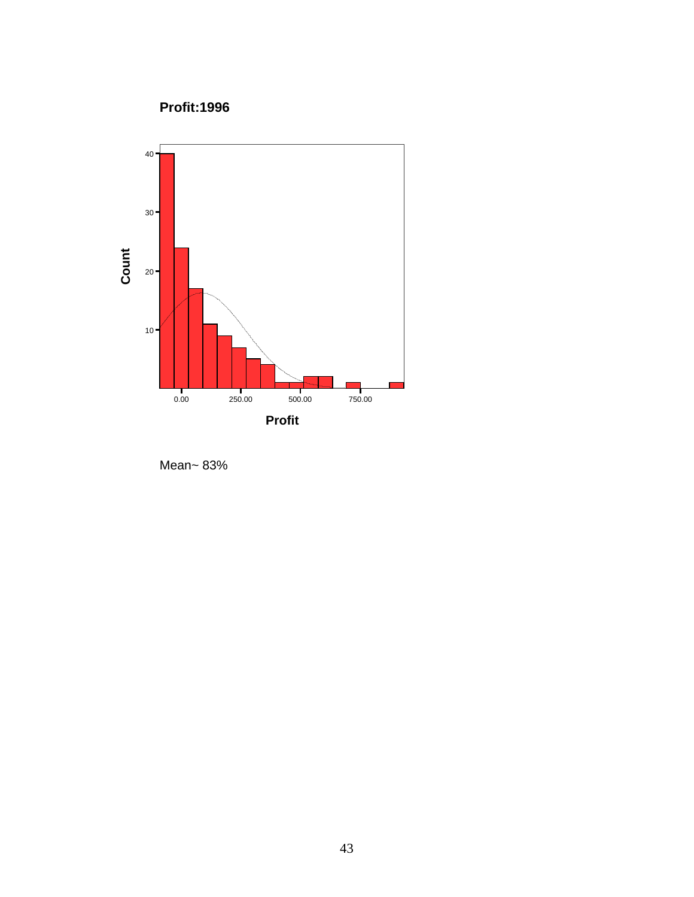



Mean~ 83%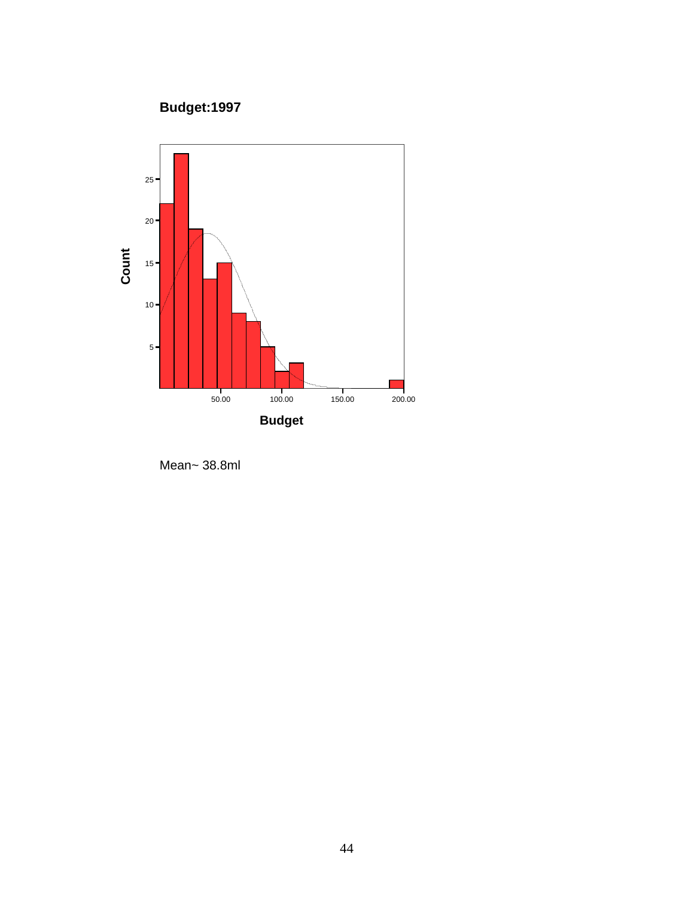



Mean~ 38.8ml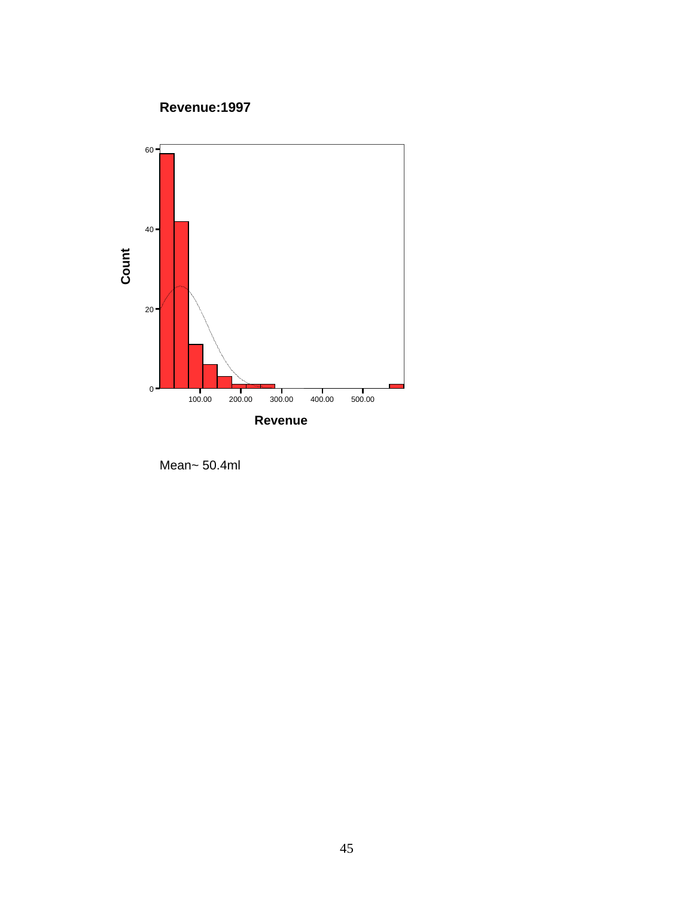



Mean~ 50.4ml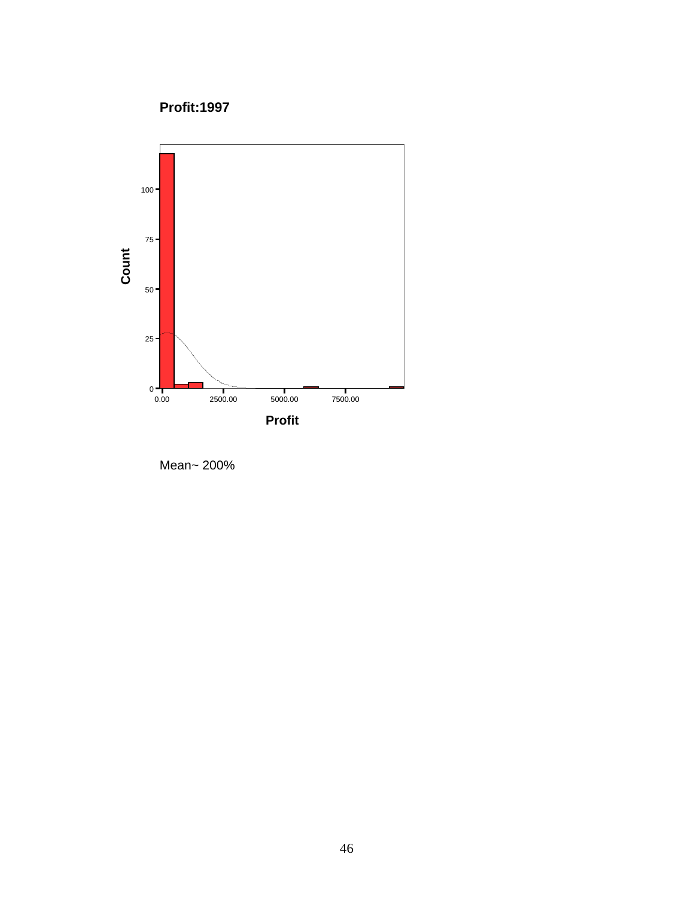



Mean~ 200%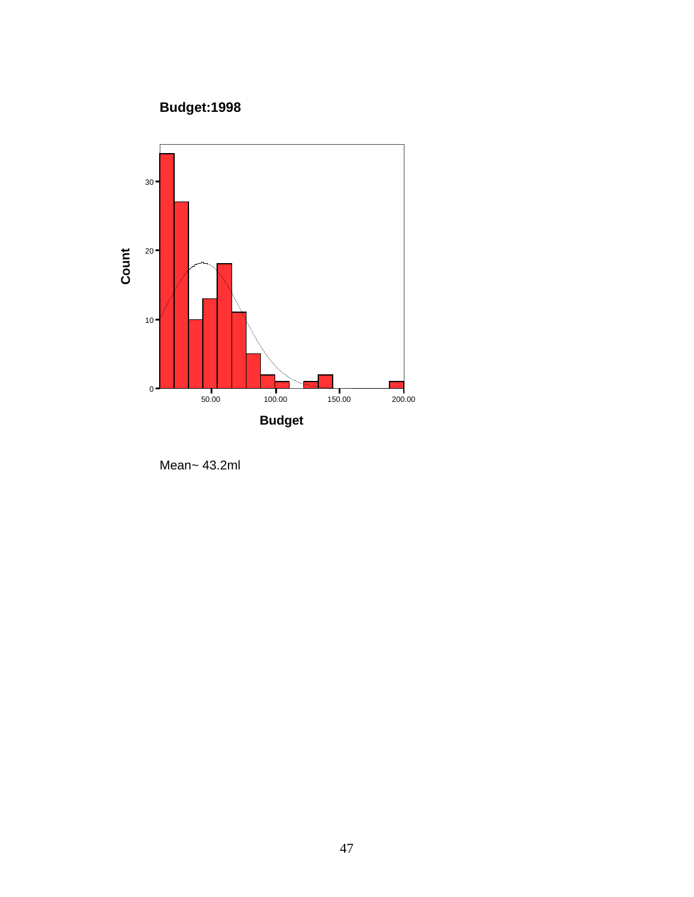



Mean~ 43.2ml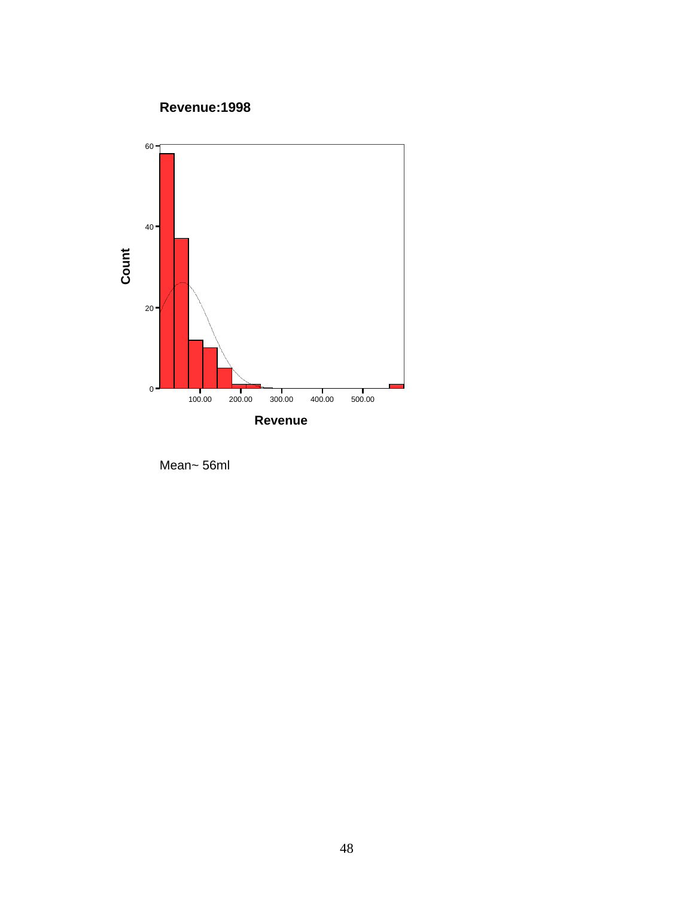



Mean~ 56ml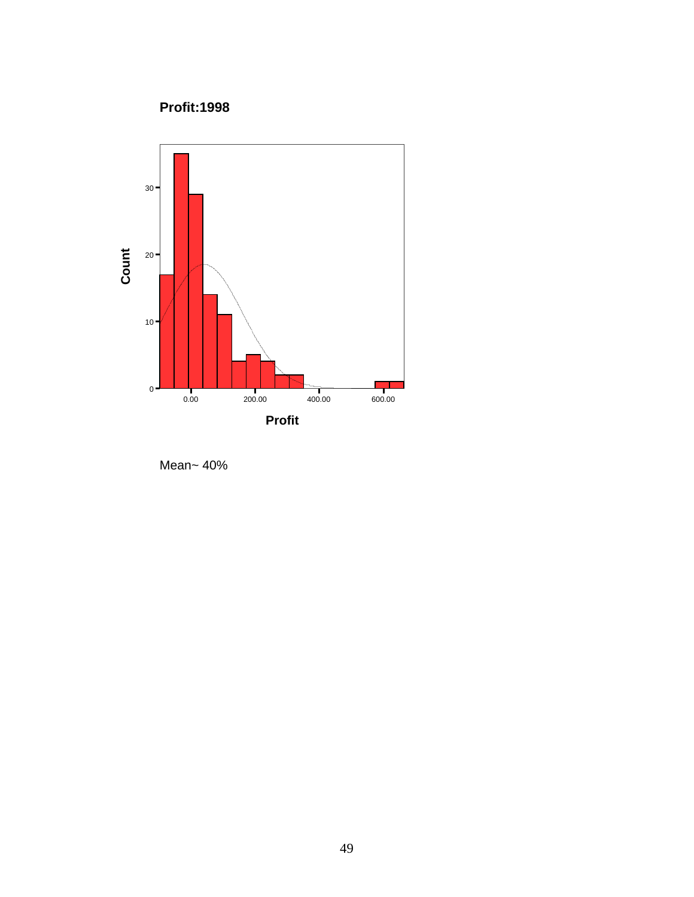



Mean~ 40%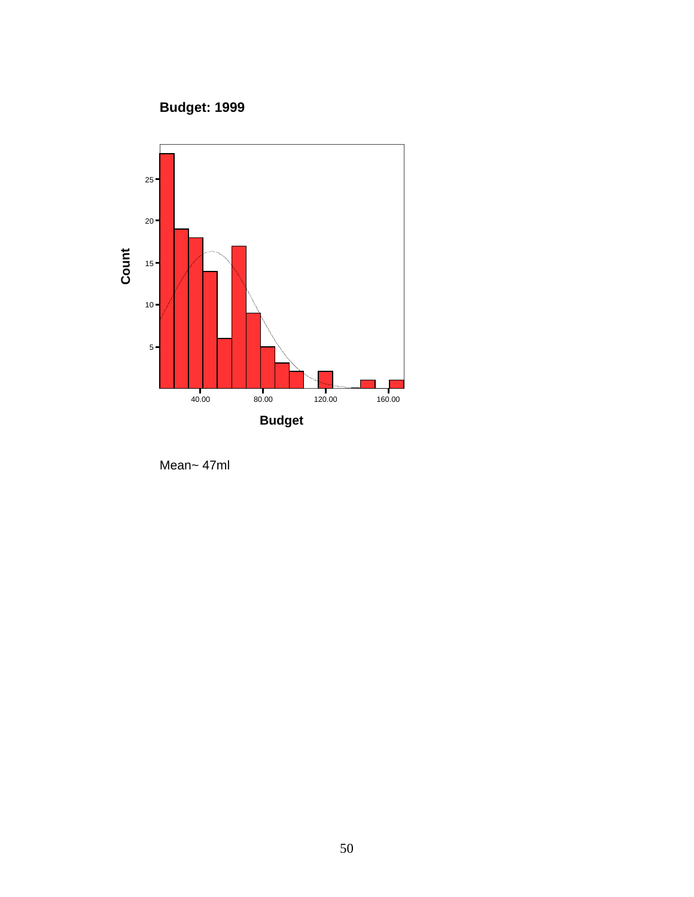



Mean~ 47ml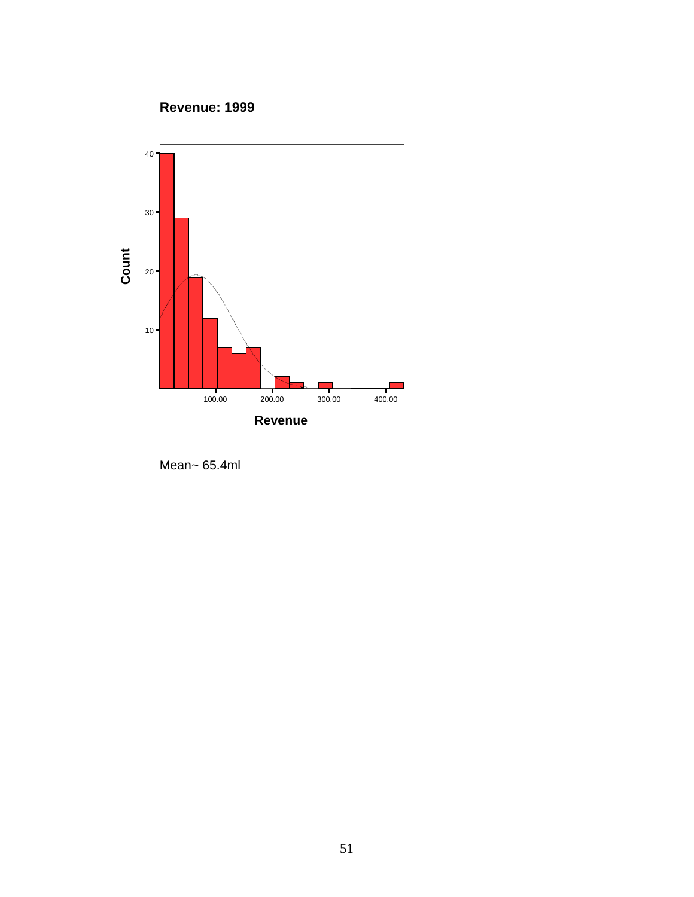



Mean~ 65.4ml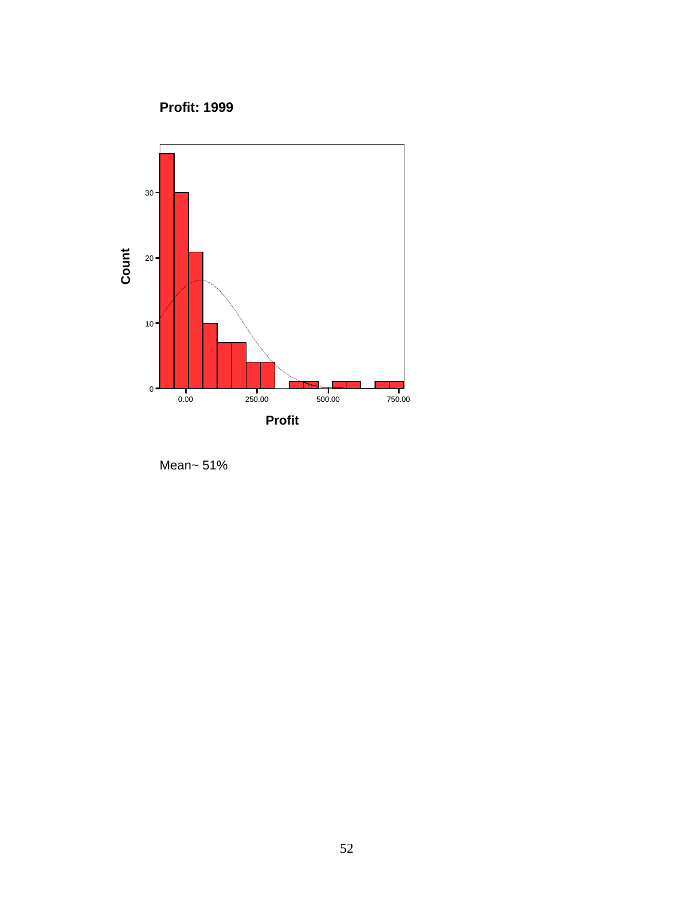



Mean~ 51%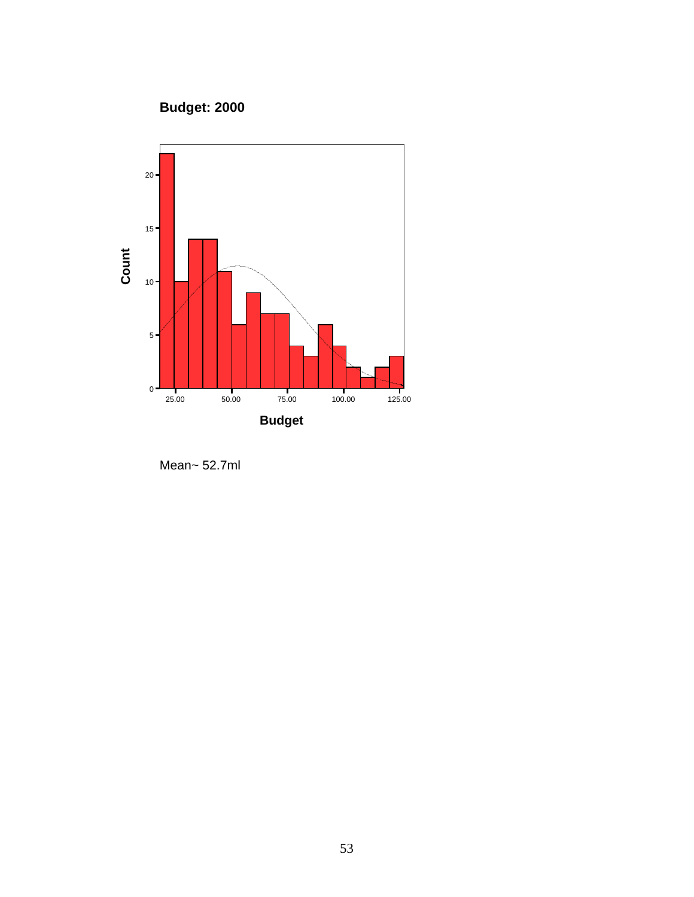



Mean~ 52.7ml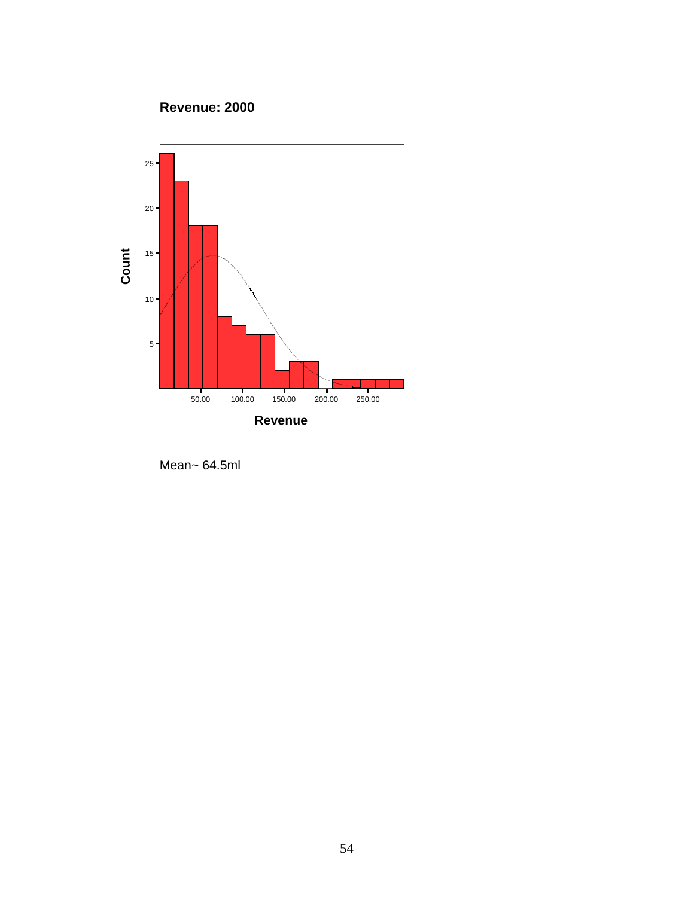



Mean~ 64.5ml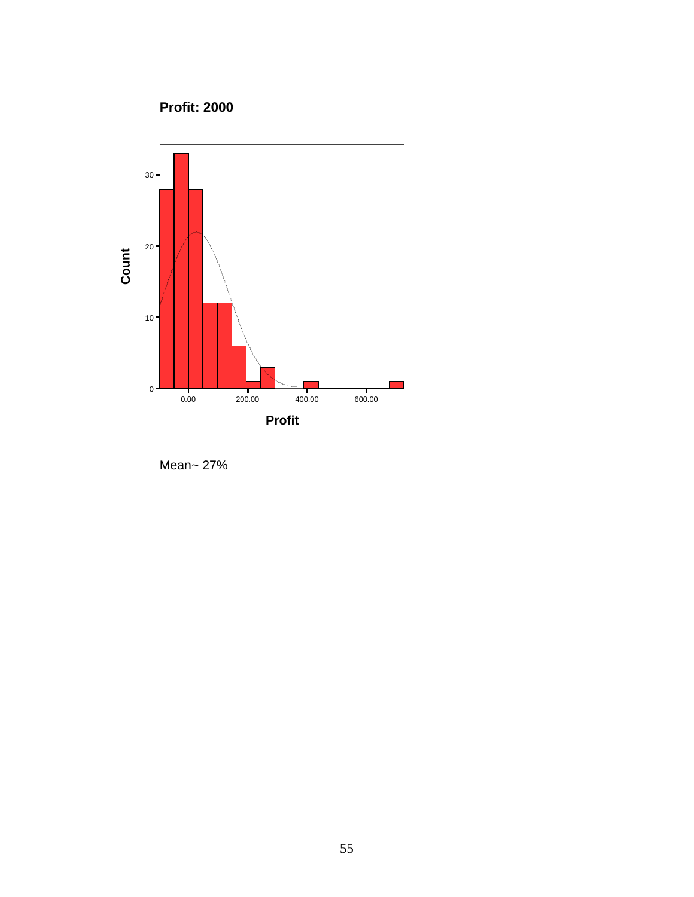



Mean~ 27%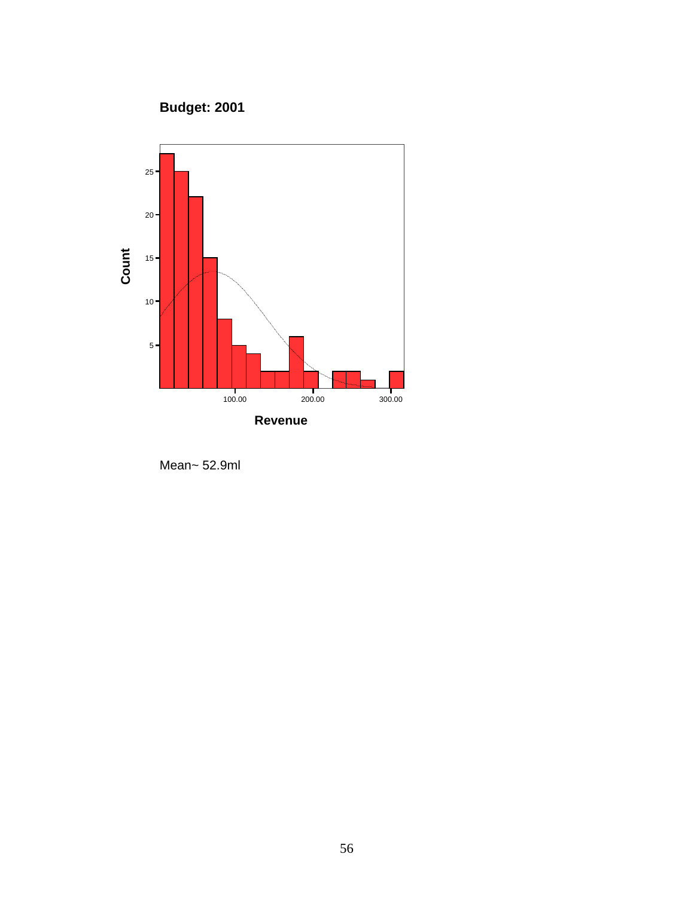



Mean~ 52.9ml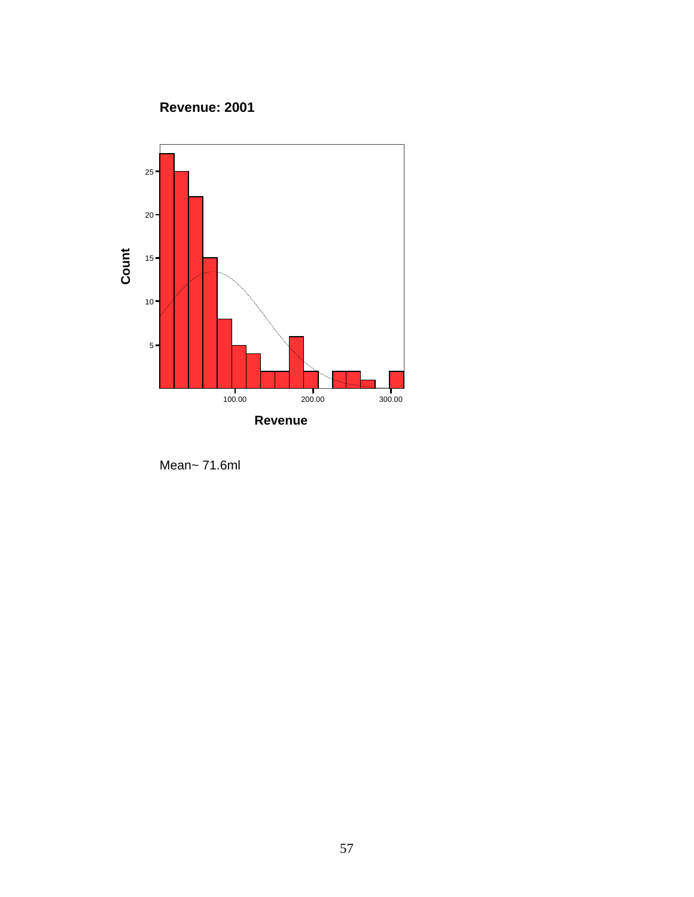



Mean~ 71.6ml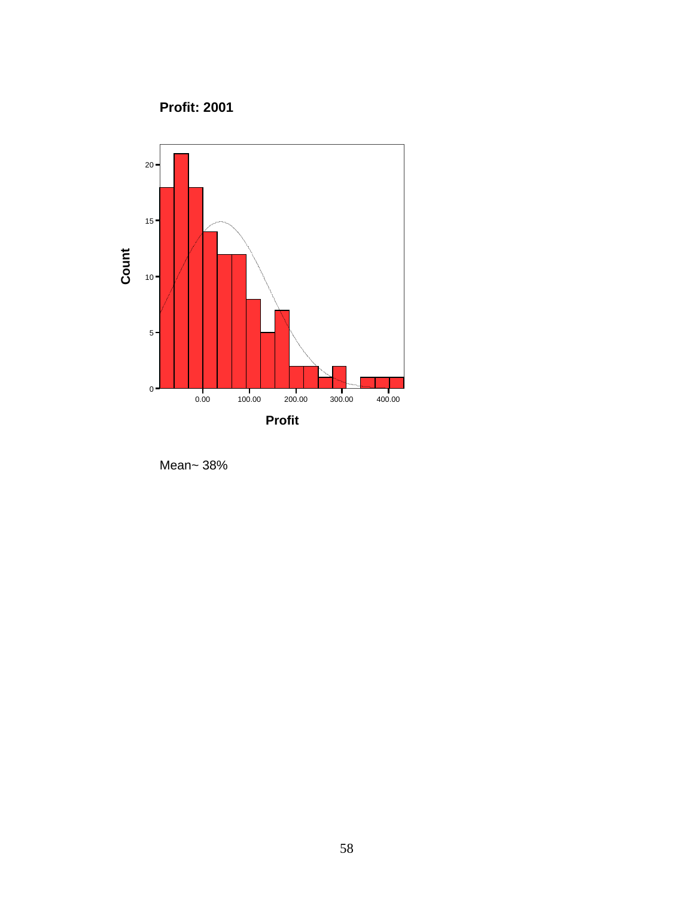



Mean~ 38%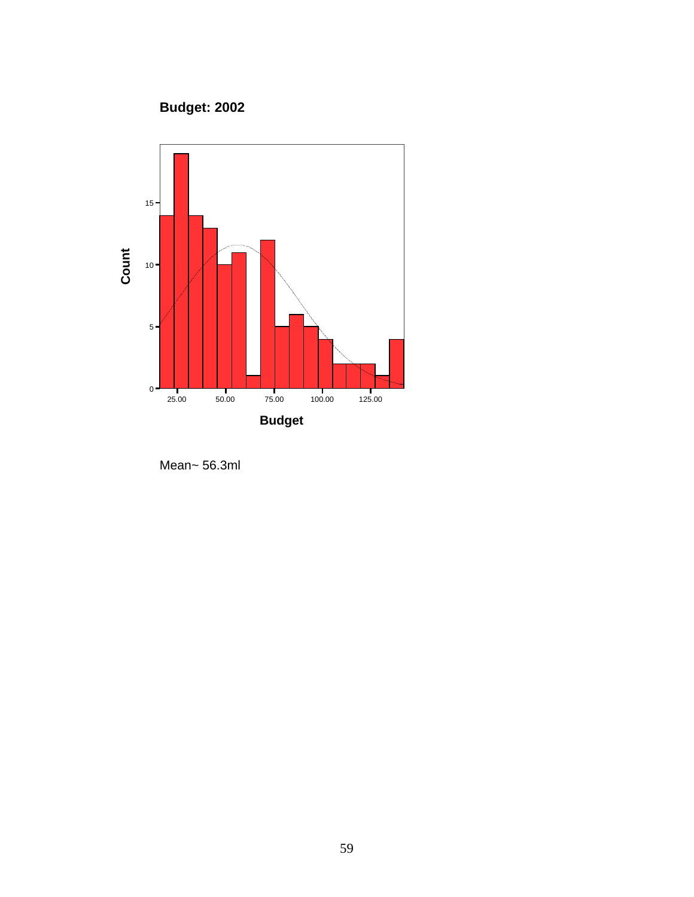**Budget: 2002**



Mean~ 56.3ml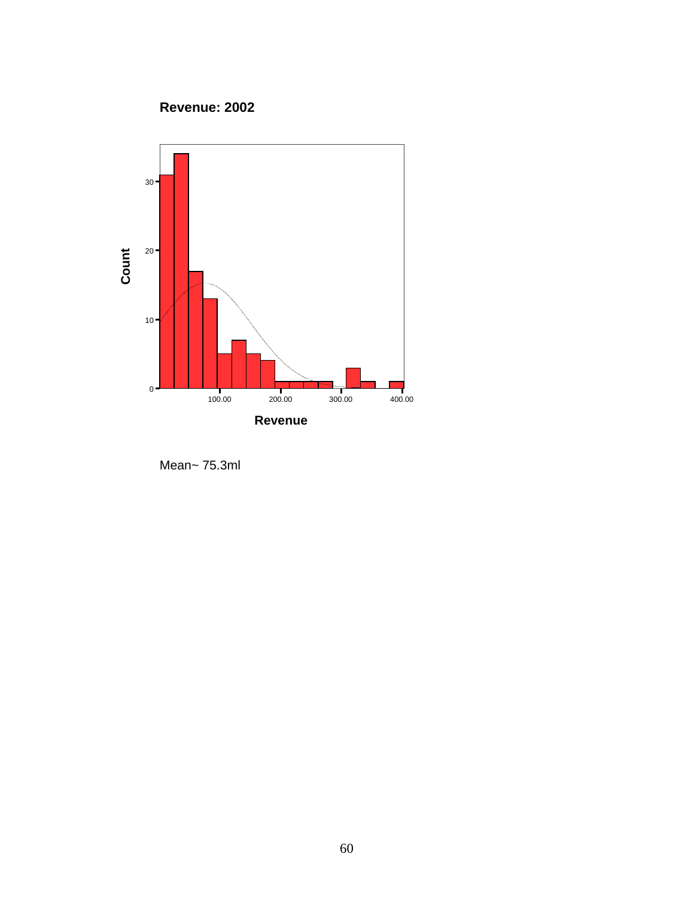



Mean~ 75.3ml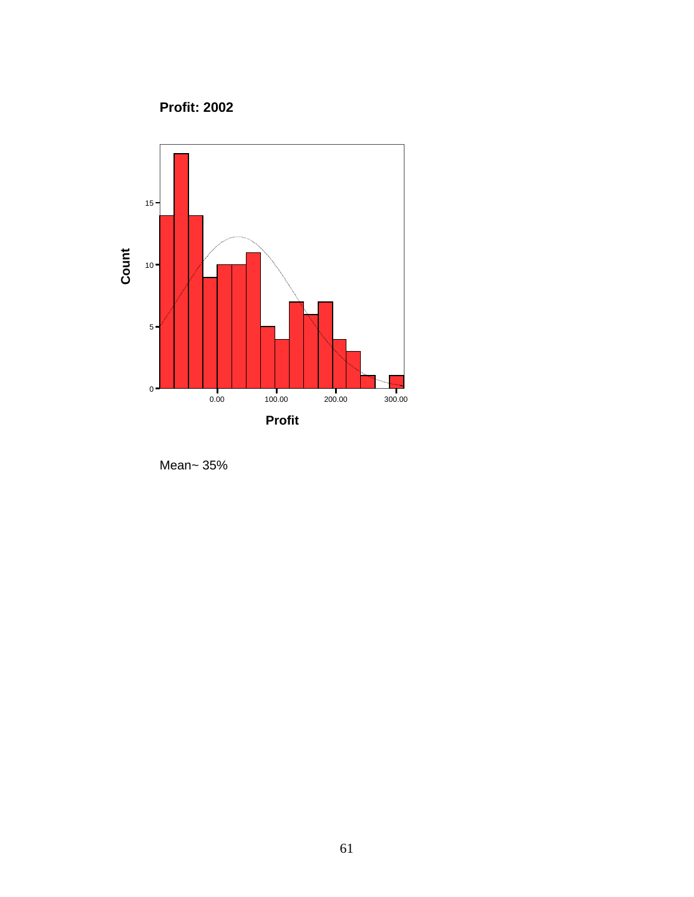



Mean~ 35%